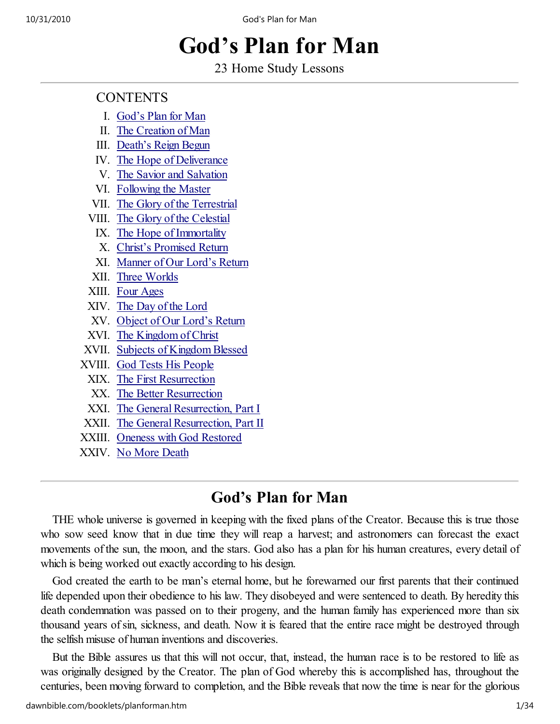# God's Plan for Man

23 Home Study Lessons

# **CONTENTS**

- I. God's Plan for Man
- II. The Creation of Man
- III. Death's Reign Begun
- IV. The Hope of Deliverance
- V. The Savior and Salvation
- VI. Following the Master
- VII. The Glory of the Terrestrial
- VIII. The Glory of the Celestial
- IX. The Hope of Immortality
- X. Christ's Promised Return
- XI. Manner of Our Lord's Return
- XII. Three Worlds
- XIII. Four Ages
- XIV. The Day of the Lord
- XV. Object of Our Lord's Return
- XVI. The Kingdom of Christ
- XVII. Subjects of Kingdom Blessed
- XVIII. God Tests His People
	- XIX. The First Resurrection
	- XX. The Better Resurrection
	- XXI. The General Resurrection, Part I
- XXII. The General Resurrection, Part II
- XXIII. Oneness with God Restored
- XXIV. No More Death

# God's Plan for Man

THE whole universe is governed in keeping with the fixed plans of the Creator. Because this is true those who sow seed know that in due time they will reap a harvest; and astronomers can forecast the exact movements of the sun, the moon, and the stars. God also has a plan for his human creatures, every detail of which is being worked out exactly according to his design.

God created the earth to be man's eternal home, but he forewarned our first parents that their continued life depended upon their obedience to his law. They disobeyed and were sentenced to death. By heredity this death condemnation was passed on to their progeny, and the human family has experienced more than six thousand years of sin, sickness, and death. Now it is feared that the entire race might be destroyed through the selfish misuse of human inventions and discoveries.

But the Bible assures us that this will not occur, that, instead, the human race is to be restored to life as was originally designed by the Creator. The plan of God whereby this is accomplished has, throughout the centuries, been moving forward to completion, and the Bible reveals that now the time is near for the glorious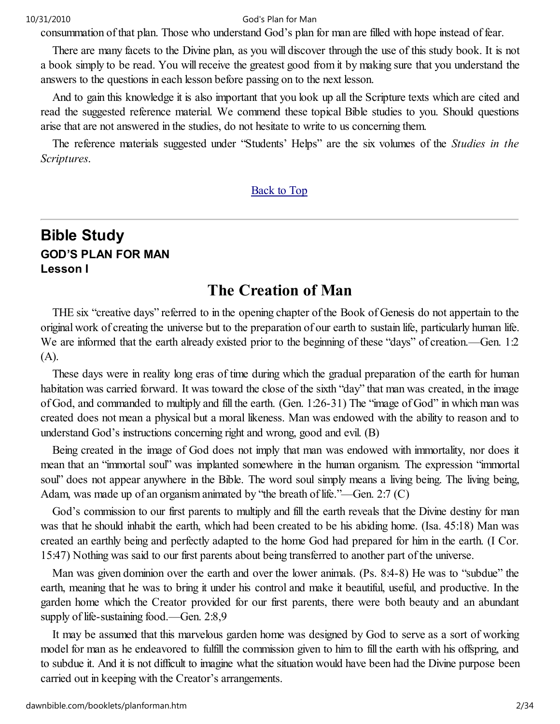consummation of that plan. Those who understand God's plan for man are filled with hope instead of fear.

There are many facets to the Divine plan, as you will discover through the use of this study book. It is not a book simply to be read. You will receive the greatest good from it by making sure that you understand the answers to the questions in each lesson before passing on to the next lesson.

And to gain this knowledge it is also important that you look up all the Scripture texts which are cited and read the suggested reference material. We commend these topical Bible studies to you. Should questions arise that are not answered in the studies, do not hesitate to write to us concerning them.

The reference materials suggested under "Students' Helps" are the six volumes of the Studies in the Scriptures.

#### Back to Top

# Bible Study GOD'S PLAN FOR MAN Lesson I

# The Creation of Man

THE six "creative days" referred to in the opening chapter of the Book of Genesis do not appertain to the original work of creating the universe but to the preparation of our earth to sustain life, particularly human life. We are informed that the earth already existed prior to the beginning of these "days" of creation.—Gen. 1:2 (A).

These days were in reality long eras of time during which the gradual preparation of the earth for human habitation was carried forward. It was toward the close of the sixth "day" that man was created, in the image of God, and commanded to multiply and fill the earth. (Gen. 1:26-31) The "image of God" in which man was created does not mean a physical but a moral likeness. Man was endowed with the ability to reason and to understand God's instructions concerning right and wrong, good and evil. (B)

Being created in the image of God does not imply that man was endowed with immortality, nor does it mean that an "immortal soul" was implanted somewhere in the human organism. The expression "immortal soul" does not appear anywhere in the Bible. The word soul simply means a living being. The living being, Adam, was made up of an organism animated by "the breath of life."—Gen. 2:7 (C)

God's commission to our first parents to multiply and fill the earth reveals that the Divine destiny for man was that he should inhabit the earth, which had been created to be his abiding home. (Isa. 45:18) Man was created an earthly being and perfectly adapted to the home God had prepared for him in the earth. (I Cor. 15:47) Nothing was said to our first parents about being transferred to another part of the universe.

Man was given dominion over the earth and over the lower animals. (Ps. 8:4-8) He was to "subdue" the earth, meaning that he was to bring it under his control and make it beautiful, useful, and productive. In the garden home which the Creator provided for our first parents, there were both beauty and an abundant supply of life-sustaining food.—Gen. 2:8,9

It may be assumed that this marvelous garden home was designed by God to serve as a sort of working model for man as he endeavored to fulfill the commission given to him to fill the earth with his offspring, and to subdue it. And it is not difficult to imagine what the situation would have been had the Divine purpose been carried out in keeping with the Creator's arrangements.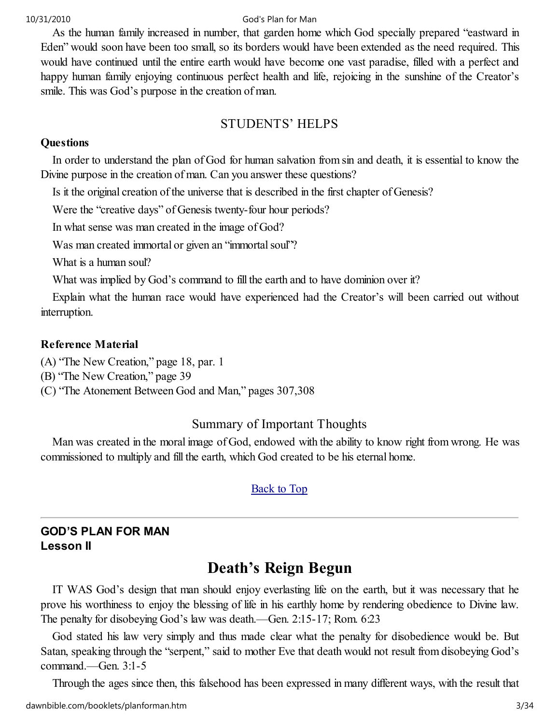As the human family increased in number, that garden home which God specially prepared "eastward in Eden" would soon have been too small, so its borders would have been extended as the need required. This would have continued until the entire earth would have become one vast paradise, filled with a perfect and happy human family enjoying continuous perfect health and life, rejoicing in the sunshine of the Creator's smile. This was God's purpose in the creation of man.

# STUDENTS' HELPS

#### **Questions**

In order to understand the plan of God for human salvation from sin and death, it is essential to know the Divine purpose in the creation of man. Can you answer these questions?

Is it the original creation of the universe that is described in the first chapter of Genesis?

Were the "creative days" of Genesis twenty-four hour periods?

In what sense was man created in the image of God?

Was man created immortal or given an "immortal soul"?

What is a human soul?

What was implied by God's command to fill the earth and to have dominion over it?

Explain what the human race would have experienced had the Creator's will been carried out without interruption.

#### Reference Material

(A) "The New Creation," page 18, par. 1

(B) "The New Creation," page 39

(C) "The Atonement Between God and Man," pages 307,308

# Summary of Important Thoughts

Man was created in the moral image of God, endowed with the ability to know right from wrong. He was commissioned to multiply and fill the earth, which God created to be his eternal home.

## Back to Top

## GOD'S PLAN FOR MAN Lesson II

# Death's Reign Begun

IT WAS God's design that man should enjoy everlasting life on the earth, but it was necessary that he prove his worthiness to enjoy the blessing of life in his earthly home by rendering obedience to Divine law. The penalty for disobeying God's law was death.—Gen. 2:15-17; Rom. 6:23

God stated his law very simply and thus made clear what the penalty for disobedience would be. But Satan, speaking through the "serpent," said to mother Eve that death would not result from disobeying God's command.—Gen. 3:1-5

Through the ages since then, this falsehood has been expressed in many different ways, with the result that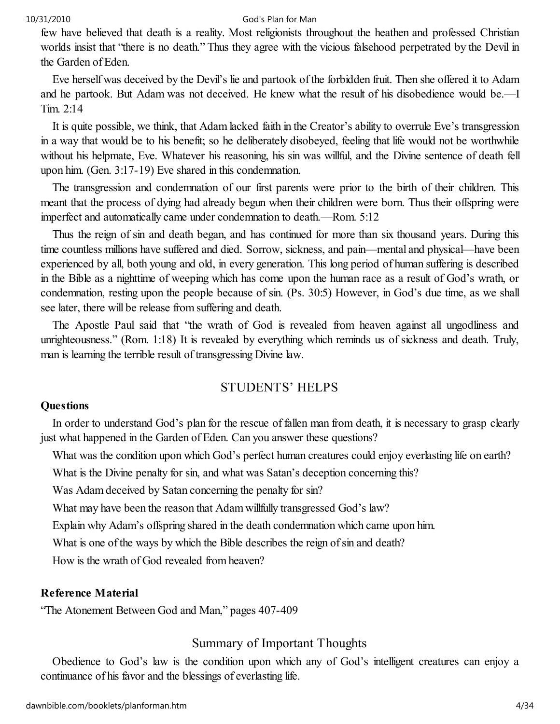few have believed that death is a reality. Most religionists throughout the heathen and professed Christian worlds insist that "there is no death." Thus they agree with the vicious falsehood perpetrated by the Devil in the Garden of Eden.

Eve herself was deceived by the Devil's lie and partook of the forbidden fruit. Then she offered it to Adam and he partook. But Adam was not deceived. He knew what the result of his disobedience would be.—I Tim. 2:14

It is quite possible, we think, that Adam lacked faith in the Creator's ability to overrule Eve's transgression in a way that would be to his benefit; so he deliberately disobeyed, feeling that life would not be worthwhile without his helpmate, Eve. Whatever his reasoning, his sin was willful, and the Divine sentence of death fell upon him. (Gen. 3:17-19) Eve shared in this condemnation.

The transgression and condemnation of our first parents were prior to the birth of their children. This meant that the process of dying had already begun when their children were born. Thus their offspring were imperfect and automatically came under condemnation to death.—Rom. 5:12

Thus the reign of sin and death began, and has continued for more than six thousand years. During this time countless millions have suffered and died. Sorrow, sickness, and pain—mental and physical—have been experienced by all, both young and old, in every generation. This long period of human suffering is described in the Bible as a nighttime of weeping which has come upon the human race as a result of God's wrath, or condemnation, resting upon the people because of sin. (Ps. 30:5) However, in God's due time, as we shall see later, there will be release from suffering and death.

The Apostle Paul said that "the wrath of God is revealed from heaven against all ungodliness and unrighteousness." (Rom. 1:18) It is revealed by everything which reminds us of sickness and death. Truly, man is learning the terrible result of transgressing Divine law.

## STUDENTS' HELPS

#### **Questions**

In order to understand God's plan for the rescue of fallen man from death, it is necessary to grasp clearly just what happened in the Garden of Eden. Can you answer these questions?

What was the condition upon which God's perfect human creatures could enjoy everlasting life on earth?

What is the Divine penalty for sin, and what was Satan's deception concerning this?

Was Adam deceived by Satan concerning the penalty for sin?

What may have been the reason that Adam willfully transgressed God's law?

Explain why Adam's offspring shared in the death condemnation which came upon him.

What is one of the ways by which the Bible describes the reign of sin and death?

How is the wrath of God revealed from heaven?

#### Reference Material

"The Atonement Between God and Man," pages 407-409

# Summary of Important Thoughts

Obedience to God's law is the condition upon which any of God's intelligent creatures can enjoy a continuance of his favor and the blessings of everlasting life.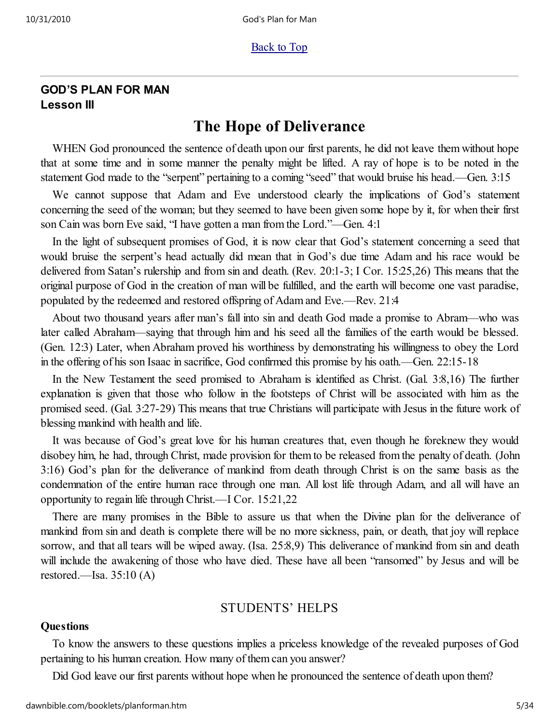#### **Back to Top**

#### GOD'S PLAN FOR MAN Lesson III

# The Hope of Deliverance

WHEN God pronounced the sentence of death upon our first parents, he did not leave them without hope that at some time and in some manner the penalty might be lifted. A ray of hope is to be noted in the statement God made to the "serpent" pertaining to a coming "seed" that would bruise his head.—Gen. 3:15

We cannot suppose that Adam and Eve understood clearly the implications of God's statement concerning the seed of the woman; but they seemed to have been given some hope by it, for when their first son Cain was born Eve said, "I have gotten a man from the Lord."—Gen. 4:1

In the light of subsequent promises of God, it is now clear that God's statement concerning a seed that would bruise the serpent's head actually did mean that in God's due time Adam and his race would be delivered from Satan's rulership and from sin and death. (Rev. 20:1-3; I Cor. 15:25,26) This means that the original purpose of God in the creation of man will be fulfilled, and the earth will become one vast paradise, populated by the redeemed and restored offspring of Adam and Eve.—Rev. 21:4

About two thousand years after man's fall into sin and death God made a promise to Abram—who was later called Abraham—saying that through him and his seed all the families of the earth would be blessed. (Gen. 12:3) Later, when Abraham proved his worthiness by demonstrating his willingness to obey the Lord in the offering of his son Isaac in sacrifice, God confirmed this promise by his oath.—Gen. 22:15-18

In the New Testament the seed promised to Abraham is identified as Christ. (Gal. 3:8,16) The further explanation is given that those who follow in the footsteps of Christ will be associated with him as the promised seed. (Gal. 3:27-29) This means that true Christians will participate with Jesus in the future work of blessing mankind with health and life.

It was because of God's great love for his human creatures that, even though he foreknew they would disobey him, he had, through Christ, made provision for them to be released from the penalty of death. (John 3:16) God's plan for the deliverance of mankind from death through Christ is on the same basis as the condemnation of the entire human race through one man. All lost life through Adam, and all will have an opportunity to regain life through Christ.—I Cor. 15:21,22

There are many promises in the Bible to assure us that when the Divine plan for the deliverance of mankind from sin and death is complete there will be no more sickness, pain, or death, that joy will replace sorrow, and that all tears will be wiped away. (Isa. 25:8,9) This deliverance of mankind from sin and death will include the awakening of those who have died. These have all been "ransomed" by Jesus and will be restored.—Isa.  $35:10(A)$ 

## STUDENTS' HELPS

#### **Ouestions**

To know the answers to these questions implies a priceless knowledge of the revealed purposes of God pertaining to his human creation. How many of them can you answer?

Did God leave our first parents without hope when he pronounced the sentence of death upon them?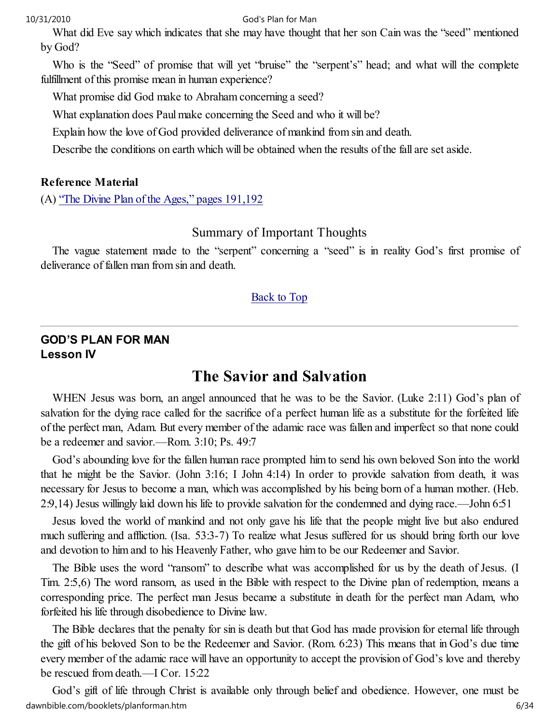What did Eve say which indicates that she may have thought that her son Cain was the "seed" mentioned by God?

Who is the "Seed" of promise that will yet "bruise" the "serpent's" head; and what will the complete fulfillment of this promise mean in human experience?

What promise did God make to Abraham concerning a seed?

What explanation does Paul make concerning the Seed and who it will be?

Explain how the love of God provided deliverance of mankind from sin and death.

Describe the conditions on earth which will be obtained when the results of the fall are set aside.

#### Reference Material

(A) "The Divine Plan of the Ages," pages 191,192

#### Summary of Important Thoughts

The vague statement made to the "serpent" concerning a "seed" is in reality God's first promise of deliverance of fallen man from sin and death.

#### Back to Top

#### GOD'S PLAN FOR MAN Lesson IV

# The Savior and Salvation

WHEN Jesus was born, an angel announced that he was to be the Savior. (Luke 2:11) God's plan of salvation for the dying race called for the sacrifice of a perfect human life as a substitute for the forfeited life of the perfect man, Adam. But every member of the adamic race was fallen and imperfect so that none could be a redeemer and savior.—Rom. 3:10; Ps. 49:7

God's abounding love for the fallen human race prompted him to send his own beloved Son into the world that he might be the Savior. (John 3:16; I John 4:14) In order to provide salvation from death, it was necessary for Jesus to become a man, which was accomplished by his being born of a human mother. (Heb. 2:9,14) Jesus willingly laid down his life to provide salvation for the condemned and dying race.—John 6:51

Jesus loved the world of mankind and not only gave his life that the people might live but also endured much suffering and affliction. (Isa. 53:3-7) To realize what Jesus suffered for us should bring forth our love and devotion to him and to his Heavenly Father, who gave him to be our Redeemer and Savior.

The Bible uses the word "ransom" to describe what was accomplished for us by the death of Jesus. (I Tim. 2:5,6) The word ransom, as used in the Bible with respect to the Divine plan of redemption, means a corresponding price. The perfect man Jesus became a substitute in death for the perfect man Adam, who forfeited his life through disobedience to Divine law.

The Bible declares that the penalty for sin is death but that God has made provision for eternal life through the gift of his beloved Son to be the Redeemer and Savior. (Rom. 6:23) This means that in God's due time every member of the adamic race will have an opportunity to accept the provision of God's love and thereby be rescued from death.—I Cor. 15:22

God's gift of life through Christ is available only through belief and obedience. However, one must be dawnbible.com/booklets/planforman.htm 6/34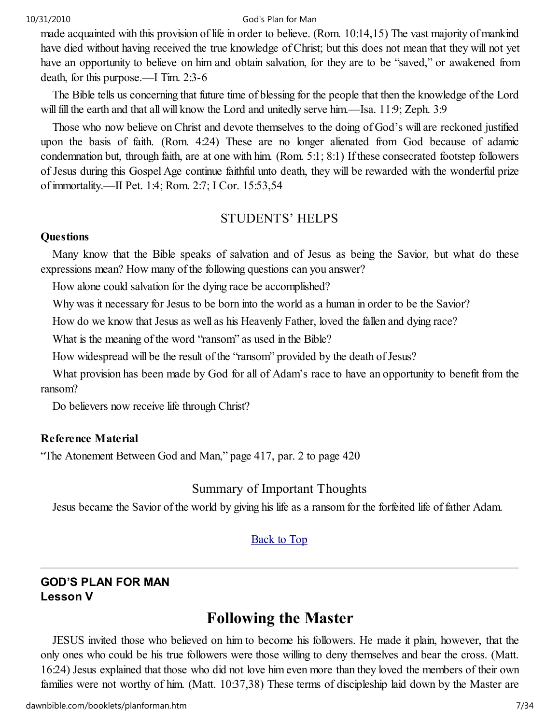made acquainted with this provision of life in order to believe. (Rom. 10:14,15) The vast majority of mankind have died without having received the true knowledge of Christ; but this does not mean that they will not yet have an opportunity to believe on him and obtain salvation, for they are to be "saved," or awakened from death, for this purpose.—I Tim. 2:3-6

The Bible tells us concerning that future time of blessing for the people that then the knowledge of the Lord will fill the earth and that all will know the Lord and unitedly serve him.—Isa. 11:9; Zeph. 3:9

Those who now believe on Christ and devote themselves to the doing of God's will are reckoned justified upon the basis of faith. (Rom. 4:24) These are no longer alienated from God because of adamic condemnation but, through faith, are at one with him. (Rom. 5:1; 8:1) If these consecrated footstep followers of Jesus during this Gospel Age continue faithful unto death, they will be rewarded with the wonderful prize of immortality.—II Pet. 1:4; Rom. 2:7; I Cor. 15:53,54

#### STUDENTS' HELPS

#### **Questions**

Many know that the Bible speaks of salvation and of Jesus as being the Savior, but what do these expressions mean? How many of the following questions can you answer?

How alone could salvation for the dying race be accomplished?

Why was it necessary for Jesus to be born into the world as a human in order to be the Savior?

How do we know that Jesus as well as his Heavenly Father, loved the fallen and dying race?

What is the meaning of the word "ransom" as used in the Bible?

How widespread will be the result of the "ransom" provided by the death of Jesus?

What provision has been made by God for all of Adam's race to have an opportunity to benefit from the ransom?

Do believers now receive life through Christ?

#### Reference Material

"The Atonement Between God and Man," page 417, par. 2 to page 420

## Summary of Important Thoughts

Jesus became the Savior of the world by giving his life as a ransom for the forfeited life of father Adam.

## Back to Top

#### GOD'S PLAN FOR MAN Lesson V

# Following the Master

JESUS invited those who believed on him to become his followers. He made it plain, however, that the only ones who could be his true followers were those willing to deny themselves and bear the cross. (Matt. 16:24) Jesus explained that those who did not love him even more than they loved the members of their own families were not worthy of him. (Matt. 10:37,38) These terms of discipleship laid down by the Master are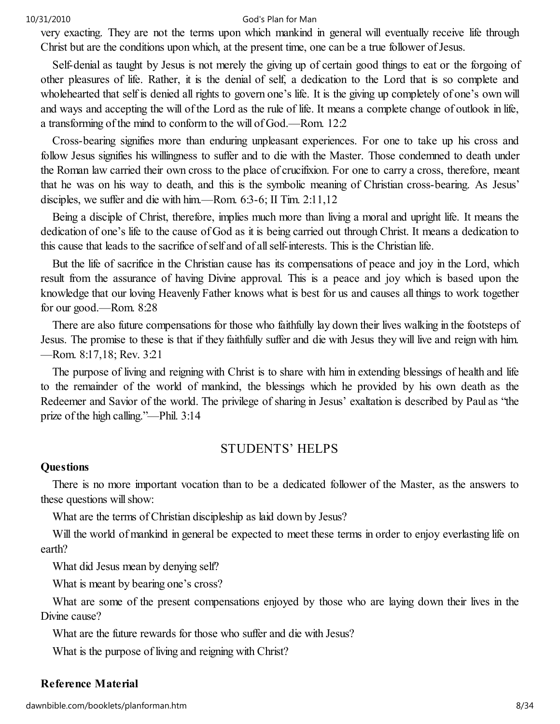very exacting. They are not the terms upon which mankind in general will eventually receive life through Christ but are the conditions upon which, at the present time, one can be a true follower of Jesus.

Self-denial as taught by Jesus is not merely the giving up of certain good things to eat or the forgoing of other pleasures of life. Rather, it is the denial of self, a dedication to the Lord that is so complete and wholehearted that self is denied all rights to govern one's life. It is the giving up completely of one's own will and ways and accepting the will of the Lord as the rule of life. It means a complete change of outlook in life, a transforming of the mind to conform to the will of God.—Rom. 12:2

Cross-bearing signifies more than enduring unpleasant experiences. For one to take up his cross and follow Jesus signifies his willingness to suffer and to die with the Master. Those condemned to death under the Roman law carried their own cross to the place of crucifixion. For one to carry a cross, therefore, meant that he was on his way to death, and this is the symbolic meaning of Christian cross-bearing. As Jesus' disciples, we suffer and die with him.—Rom. 6:3-6; II Tim. 2:11,12

Being a disciple of Christ, therefore, implies much more than living a moral and upright life. It means the dedication of one's life to the cause of God as it is being carried out through Christ. It means a dedication to this cause that leads to the sacrifice of self and of all self-interests. This is the Christian life.

But the life of sacrifice in the Christian cause has its compensations of peace and joy in the Lord, which result from the assurance of having Divine approval. This is a peace and joy which is based upon the knowledge that our loving Heavenly Father knows what is best for us and causes all things to work together for our good.—Rom. 8:28

There are also future compensations for those who faithfully lay down their lives walking in the footsteps of Jesus. The promise to these is that if they faithfully suffer and die with Jesus they will live and reign with him. —Rom. 8:17,18; Rev. 3:21

The purpose of living and reigning with Christ is to share with him in extending blessings of health and life to the remainder of the world of mankind, the blessings which he provided by his own death as the Redeemer and Savior of the world. The privilege of sharing in Jesus' exaltation is described by Paul as "the prize of the high calling."—Phil. 3:14

## STUDENTS' HELPS

#### **Questions**

There is no more important vocation than to be a dedicated follower of the Master, as the answers to these questions will show:

What are the terms of Christian discipleship as laid down by Jesus?

Will the world of mankind in general be expected to meet these terms in order to enjoy everlasting life on earth?

What did Jesus mean by denying self?

What is meant by bearing one's cross?

What are some of the present compensations enjoyed by those who are laying down their lives in the Divine cause?

What are the future rewards for those who suffer and die with Jesus?

What is the purpose of living and reigning with Christ?

#### Reference Material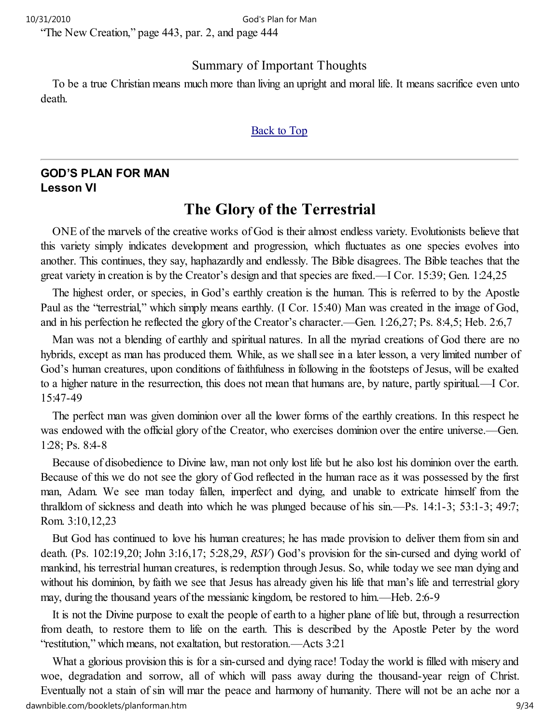"The New Creation," page 443, par. 2, and page 444

#### Summary of Important Thoughts

To be a true Christian means much more than living an upright and moral life. It means sacrifice even unto death.

#### Back to Top

#### GOD'S PLAN FOR MAN Lesson VI

# The Glory of the Terrestrial

ONE of the marvels of the creative works of God is their almost endless variety. Evolutionists believe that this variety simply indicates development and progression, which fluctuates as one species evolves into another. This continues, they say, haphazardly and endlessly. The Bible disagrees. The Bible teaches that the great variety in creation is by the Creator's design and that species are fixed.—I Cor. 15:39; Gen. 1:24,25

The highest order, or species, in God's earthly creation is the human. This is referred to by the Apostle Paul as the "terrestrial," which simply means earthly. (I Cor. 15:40) Man was created in the image of God, and in his perfection he reflected the glory of the Creator's character.—Gen. 1:26,27; Ps. 8:4,5; Heb. 2:6,7

Man was not a blending of earthly and spiritual natures. In all the myriad creations of God there are no hybrids, except as man has produced them. While, as we shall see in a later lesson, a very limited number of God's human creatures, upon conditions of faithfulness in following in the footsteps of Jesus, will be exalted to a higher nature in the resurrection, this does not mean that humans are, by nature, partly spiritual.—I Cor. 15:47-49

The perfect man was given dominion over all the lower forms of the earthly creations. In this respect he was endowed with the official glory of the Creator, who exercises dominion over the entire universe.—Gen. 1:28; Ps. 8:4-8

Because of disobedience to Divine law, man not only lost life but he also lost his dominion over the earth. Because of this we do not see the glory of God reflected in the human race as it was possessed by the first man, Adam. We see man today fallen, imperfect and dying, and unable to extricate himself from the thralldom of sickness and death into which he was plunged because of his sin.—Ps. 14:1-3; 53:1-3; 49:7; Rom. 3:10,12,23

But God has continued to love his human creatures; he has made provision to deliver them from sin and death. (Ps. 102:19,20; John 3:16,17; 5:28,29, RSV) God's provision for the sin-cursed and dying world of mankind, his terrestrial human creatures, is redemption through Jesus. So, while today we see man dying and without his dominion, by faith we see that Jesus has already given his life that man's life and terrestrial glory may, during the thousand years of the messianic kingdom, be restored to him.—Heb. 2:6-9

It is not the Divine purpose to exalt the people of earth to a higher plane of life but, through a resurrection from death, to restore them to life on the earth. This is described by the Apostle Peter by the word "restitution," which means, not exaltation, but restoration.—Acts 3:21

What a glorious provision this is for a sin-cursed and dying race! Today the world is filled with misery and woe, degradation and sorrow, all of which will pass away during the thousand-year reign of Christ. Eventually not a stain of sin will mar the peace and harmony of humanity. There will not be an ache nor a dawnbible.com/booklets/planforman.htm 9/34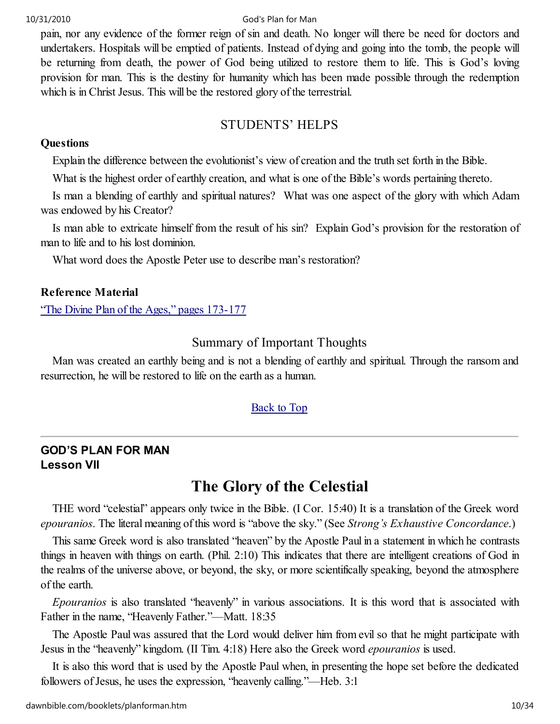pain, nor any evidence of the former reign of sin and death. No longer will there be need for doctors and undertakers. Hospitals will be emptied of patients. Instead of dying and going into the tomb, the people will be returning from death, the power of God being utilized to restore them to life. This is God's loving provision for man. This is the destiny for humanity which has been made possible through the redemption which is in Christ Jesus. This will be the restored glory of the terrestrial.

# STUDENTS' HELPS

#### **Questions**

Explain the difference between the evolutionist's view of creation and the truth set forth in the Bible.

What is the highest order of earthly creation, and what is one of the Bible's words pertaining thereto.

Is man a blending of earthly and spiritual natures? What was one aspect of the glory with which Adam was endowed by his Creator?

Is man able to extricate himself from the result of his sin? Explain God's provision for the restoration of man to life and to his lost dominion.

What word does the Apostle Peter use to describe man's restoration?

#### Reference Material

"The Divine Plan of the Ages," pages 173-177

# Summary of Important Thoughts

Man was created an earthly being and is not a blending of earthly and spiritual. Through the ransom and resurrection, he will be restored to life on the earth as a human.

## Back to Top

## GOD'S PLAN FOR MAN Lesson VII

# The Glory of the Celestial

THE word "celestial" appears only twice in the Bible. (I Cor. 15:40) It is a translation of the Greek word epouranios. The literal meaning of this word is "above the sky." (See Strong's Exhaustive Concordance.)

This same Greek word is also translated "heaven" by the Apostle Paul in a statement in which he contrasts things in heaven with things on earth. (Phil. 2:10) This indicates that there are intelligent creations of God in the realms of the universe above, or beyond, the sky, or more scientifically speaking, beyond the atmosphere of the earth.

Epouranios is also translated "heavenly" in various associations. It is this word that is associated with Father in the name, "Heavenly Father."—Matt. 18:35

The Apostle Paul was assured that the Lord would deliver him from evil so that he might participate with Jesus in the "heavenly" kingdom. (II Tim. 4:18) Here also the Greek word epouranios is used.

It is also this word that is used by the Apostle Paul when, in presenting the hope set before the dedicated followers of Jesus, he uses the expression, "heavenly calling."—Heb. 3:1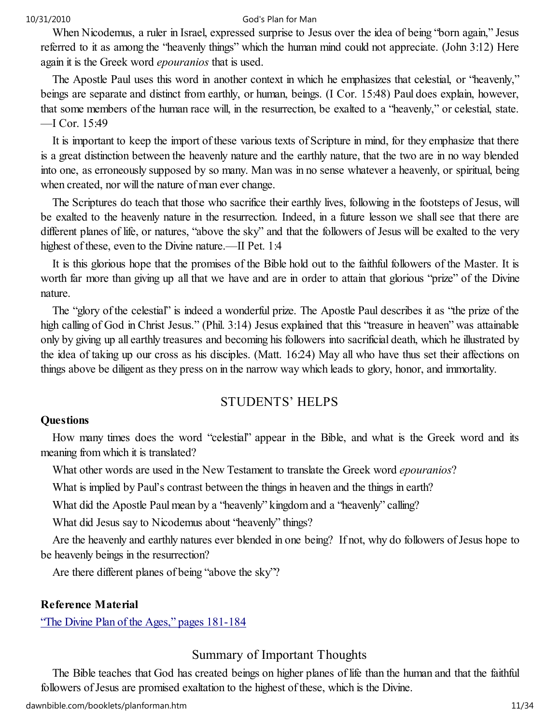When Nicodemus, a ruler in Israel, expressed surprise to Jesus over the idea of being "born again," Jesus referred to it as among the "heavenly things" which the human mind could not appreciate. (John 3:12) Here again it is the Greek word epouranios that is used.

The Apostle Paul uses this word in another context in which he emphasizes that celestial, or "heavenly," beings are separate and distinct from earthly, or human, beings. (I Cor. 15:48) Paul does explain, however, that some members of the human race will, in the resurrection, be exalted to a "heavenly," or celestial, state. —I Cor. 15:49

It is important to keep the import of these various texts of Scripture in mind, for they emphasize that there is a great distinction between the heavenly nature and the earthly nature, that the two are in no way blended into one, as erroneously supposed by so many. Man was in no sense whatever a heavenly, or spiritual, being when created, nor will the nature of man ever change.

The Scriptures do teach that those who sacrifice their earthly lives, following in the footsteps of Jesus, will be exalted to the heavenly nature in the resurrection. Indeed, in a future lesson we shall see that there are different planes of life, or natures, "above the sky" and that the followers of Jesus will be exalted to the very highest of these, even to the Divine nature.—II Pet. 1:4

It is this glorious hope that the promises of the Bible hold out to the faithful followers of the Master. It is worth far more than giving up all that we have and are in order to attain that glorious "prize" of the Divine nature.

The "glory of the celestial" is indeed a wonderful prize. The Apostle Paul describes it as "the prize of the high calling of God in Christ Jesus." (Phil. 3:14) Jesus explained that this "treasure in heaven" was attainable only by giving up all earthly treasures and becoming his followers into sacrificial death, which he illustrated by the idea of taking up our cross as his disciples. (Matt. 16:24) May all who have thus set their affections on things above be diligent as they press on in the narrow way which leads to glory, honor, and immortality.

#### STUDENTS' HELPS

#### **Questions**

How many times does the word "celestial" appear in the Bible, and what is the Greek word and its meaning from which it is translated?

What other words are used in the New Testament to translate the Greek word *epouranios*?

What is implied by Paul's contrast between the things in heaven and the things in earth?

What did the Apostle Paul mean by a "heavenly" kingdom and a "heavenly" calling?

What did Jesus say to Nicodemus about "heavenly" things?

Are the heavenly and earthly natures ever blended in one being? If not, why do followers of Jesus hope to be heavenly beings in the resurrection?

Are there different planes of being "above the sky"?

#### Reference Material

"The Divine Plan of the Ages," pages 181-184

#### Summary of Important Thoughts

The Bible teaches that God has created beings on higher planes of life than the human and that the faithful followers of Jesus are promised exaltation to the highest of these, which is the Divine.

dawnbible.com/booklets/planforman.htm 11/34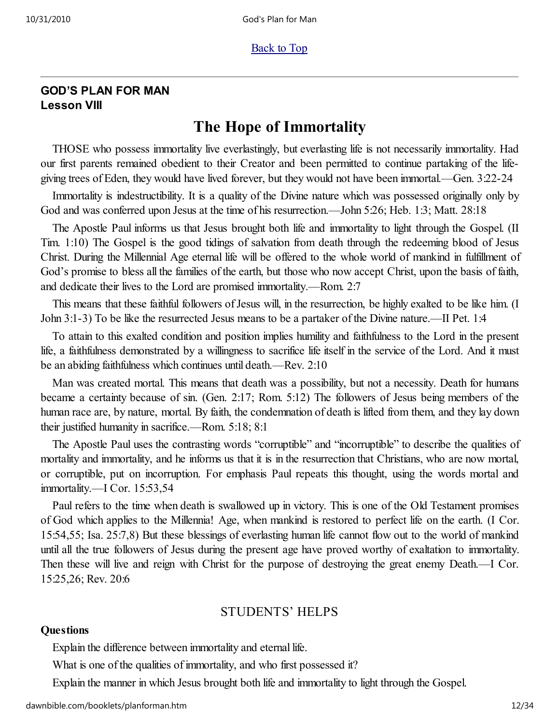### GOD'S PLAN FOR MAN Lesson VIII

# The Hope of Immortality

THOSE who possess immortality live everlastingly, but everlasting life is not necessarily immortality. Had our first parents remained obedient to their Creator and been permitted to continue partaking of the lifegiving trees of Eden, they would have lived forever, but they would not have been immortal.—Gen. 3:22-24

Immortality is indestructibility. It is a quality of the Divine nature which was possessed originally only by God and was conferred upon Jesus at the time of his resurrection.—John 5:26; Heb. 1:3; Matt. 28:18

The Apostle Paul informs us that Jesus brought both life and immortality to light through the Gospel. (II Tim. 1:10) The Gospel is the good tidings of salvation from death through the redeeming blood of Jesus Christ. During the Millennial Age eternal life will be offered to the whole world of mankind in fulfillment of God's promise to bless all the families of the earth, but those who now accept Christ, upon the basis of faith, and dedicate their lives to the Lord are promised immortality.—Rom. 2:7

This means that these faithful followers of Jesus will, in the resurrection, be highly exalted to be like him. (I John 3:1-3) To be like the resurrected Jesus means to be a partaker of the Divine nature.—II Pet. 1:4

To attain to this exalted condition and position implies humility and faithfulness to the Lord in the present life, a faithfulness demonstrated by a willingness to sacrifice life itself in the service of the Lord. And it must be an abiding faithfulness which continues until death.—Rev. 2:10

Man was created mortal. This means that death was a possibility, but not a necessity. Death for humans became a certainty because of sin. (Gen. 2:17; Rom. 5:12) The followers of Jesus being members of the human race are, by nature, mortal. By faith, the condemnation of death is lifted from them, and they lay down their justified humanity in sacrifice.—Rom. 5:18; 8:1

The Apostle Paul uses the contrasting words "corruptible" and "incorruptible" to describe the qualities of mortality and immortality, and he informs us that it is in the resurrection that Christians, who are now mortal, or corruptible, put on incorruption. For emphasis Paul repeats this thought, using the words mortal and immortality.—I Cor. 15:53,54

Paul refers to the time when death is swallowed up in victory. This is one of the Old Testament promises of God which applies to the Millennia! Age, when mankind is restored to perfect life on the earth. (I Cor. 15:54,55; Isa. 25:7,8) But these blessings of everlasting human life cannot flow out to the world of mankind until all the true followers of Jesus during the present age have proved worthy of exaltation to immortality. Then these will live and reign with Christ for the purpose of destroying the great enemy Death.—I Cor. 15:25,26; Rev. 20:6

## STUDENTS' HELPS

#### **Questions**

Explain the difference between immortality and eternal life.

What is one of the qualities of immortality, and who first possessed it?

Explain the manner in which Jesus brought both life and immortality to light through the Gospel.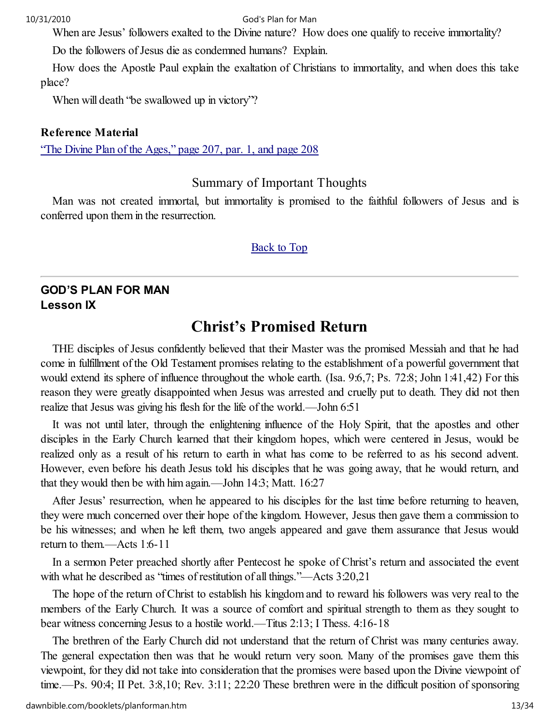When are Jesus' followers exalted to the Divine nature? How does one qualify to receive immortality?

Do the followers of Jesus die as condemned humans? Explain.

How does the Apostle Paul explain the exaltation of Christians to immortality, and when does this take place?

When will death "be swallowed up in victory"?

#### Reference Material

"The Divine Plan of the Ages," page 207, par. 1, and page 208

# Summary of Important Thoughts

Man was not created immortal, but immortality is promised to the faithful followers of Jesus and is conferred upon them in the resurrection.

#### Back to Top

# GOD'S PLAN FOR MAN Lesson IX

# Christ's Promised Return

THE disciples of Jesus confidently believed that their Master was the promised Messiah and that he had come in fulfillment of the Old Testament promises relating to the establishment of a powerful government that would extend its sphere of influence throughout the whole earth. (Isa. 9:6,7; Ps. 72:8; John 1:41,42) For this reason they were greatly disappointed when Jesus was arrested and cruelly put to death. They did not then realize that Jesus was giving his flesh for the life of the world.—John 6:51

It was not until later, through the enlightening influence of the Holy Spirit, that the apostles and other disciples in the Early Church learned that their kingdom hopes, which were centered in Jesus, would be realized only as a result of his return to earth in what has come to be referred to as his second advent. However, even before his death Jesus told his disciples that he was going away, that he would return, and that they would then be with him again.—John 14:3; Matt. 16:27

After Jesus' resurrection, when he appeared to his disciples for the last time before returning to heaven, they were much concerned over their hope of the kingdom. However, Jesus then gave them a commission to be his witnesses; and when he left them, two angels appeared and gave them assurance that Jesus would return to them.—Acts 1:6-11

In a sermon Peter preached shortly after Pentecost he spoke of Christ's return and associated the event with what he described as "times of restitution of all things."—Acts 3:20,21

The hope of the return of Christ to establish his kingdom and to reward his followers was very real to the members of the Early Church. It was a source of comfort and spiritual strength to them as they sought to bear witness concerning Jesus to a hostile world.—Titus 2:13; I Thess. 4:16-18

The brethren of the Early Church did not understand that the return of Christ was many centuries away. The general expectation then was that he would return very soon. Many of the promises gave them this viewpoint, for they did not take into consideration that the promises were based upon the Divine viewpoint of time.—Ps. 90:4; II Pet. 3:8,10; Rev. 3:11; 22:20 These brethren were in the difficult position of sponsoring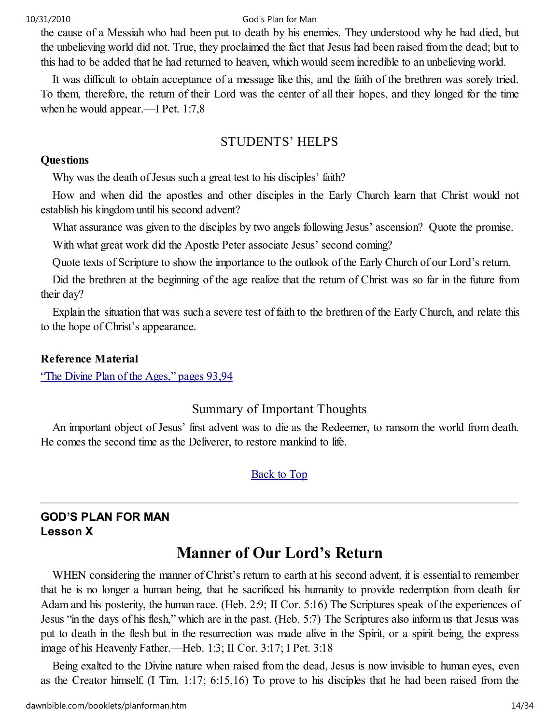the cause of a Messiah who had been put to death by his enemies. They understood why he had died, but the unbelieving world did not. True, they proclaimed the fact that Jesus had been raised from the dead; but to this had to be added that he had returned to heaven, which would seem incredible to an unbelieving world.

It was difficult to obtain acceptance of a message like this, and the faith of the brethren was sorely tried. To them, therefore, the return of their Lord was the center of all their hopes, and they longed for the time when he would appear.—I Pet. 1:7,8

# STUDENTS' HELPS

#### **Questions**

Why was the death of Jesus such a great test to his disciples' faith?

How and when did the apostles and other disciples in the Early Church learn that Christ would not establish his kingdom until his second advent?

What assurance was given to the disciples by two angels following Jesus' ascension? Quote the promise.

With what great work did the Apostle Peter associate Jesus' second coming?

Quote texts of Scripture to show the importance to the outlook of the Early Church of our Lord's return.

Did the brethren at the beginning of the age realize that the return of Christ was so far in the future from their day?

Explain the situation that was such a severe test of faith to the brethren of the Early Church, and relate this to the hope of Christ's appearance.

#### Reference Material

"The Divine Plan of the Ages," pages 93,94

## Summary of Important Thoughts

An important object of Jesus' first advent was to die as the Redeemer, to ransom the world from death. He comes the second time as the Deliverer, to restore mankind to life.

#### Back to Top

# GOD'S PLAN FOR MAN Lesson X

# Manner of Our Lord's Return

WHEN considering the manner of Christ's return to earth at his second advent, it is essential to remember that he is no longer a human being, that he sacrificed his humanity to provide redemption from death for Adam and his posterity, the human race. (Heb. 2:9; II Cor. 5:16) The Scriptures speak of the experiences of Jesus "in the days of his flesh," which are in the past. (Heb. 5:7) The Scriptures also inform us that Jesus was put to death in the flesh but in the resurrection was made alive in the Spirit, or a spirit being, the express image of his Heavenly Father.—Heb. 1:3; II Cor. 3:17; I Pet. 3:18

Being exalted to the Divine nature when raised from the dead, Jesus is now invisible to human eyes, even as the Creator himself. (I Tim. 1:17; 6:15,16) To prove to his disciples that he had been raised from the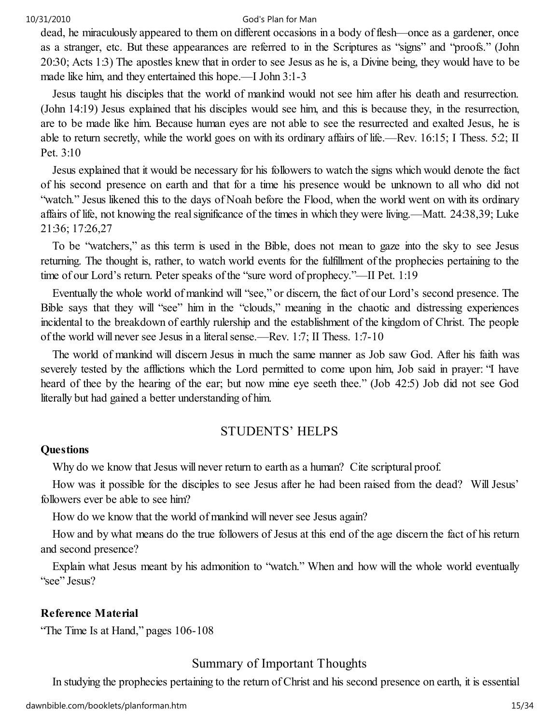dead, he miraculously appeared to them on different occasions in a body of flesh—once as a gardener, once as a stranger, etc. But these appearances are referred to in the Scriptures as "signs" and "proofs." (John 20:30; Acts 1:3) The apostles knew that in order to see Jesus as he is, a Divine being, they would have to be made like him, and they entertained this hope.—I John 3:1-3

Jesus taught his disciples that the world of mankind would not see him after his death and resurrection. (John 14:19) Jesus explained that his disciples would see him, and this is because they, in the resurrection, are to be made like him. Because human eyes are not able to see the resurrected and exalted Jesus, he is able to return secretly, while the world goes on with its ordinary affairs of life.—Rev. 16:15; I Thess. 5:2; II Pet. 3:10

Jesus explained that it would be necessary for his followers to watch the signs which would denote the fact of his second presence on earth and that for a time his presence would be unknown to all who did not "watch." Jesus likened this to the days of Noah before the Flood, when the world went on with its ordinary affairs of life, not knowing the real significance of the times in which they were living.—Matt. 24:38,39; Luke 21:36; 17:26,27

To be "watchers," as this term is used in the Bible, does not mean to gaze into the sky to see Jesus returning. The thought is, rather, to watch world events for the fulfillment of the prophecies pertaining to the time of our Lord's return. Peter speaks of the "sure word of prophecy."—II Pet. 1:19

Eventually the whole world of mankind will "see," or discern, the fact of our Lord's second presence. The Bible says that they will "see" him in the "clouds," meaning in the chaotic and distressing experiences incidental to the breakdown of earthly rulership and the establishment of the kingdom of Christ. The people of the world will never see Jesus in a literal sense.—Rev. 1:7; II Thess. 1:7-10

The world of mankind will discern Jesus in much the same manner as Job saw God. After his faith was severely tested by the afflictions which the Lord permitted to come upon him, Job said in prayer: "I have heard of thee by the hearing of the ear; but now mine eye seeth thee." (Job 42:5) Job did not see God literally but had gained a better understanding of him.

#### STUDENTS' HELPS

#### **Ouestions**

Why do we know that Jesus will never return to earth as a human? Cite scriptural proof.

How was it possible for the disciples to see Jesus after he had been raised from the dead? Will Jesus' followers ever be able to see him?

How do we know that the world of mankind will never see Jesus again?

How and by what means do the true followers of Jesus at this end of the age discern the fact of his return and second presence?

Explain what Jesus meant by his admonition to "watch." When and how will the whole world eventually "see" Jesus?

#### Reference Material

"The Time Is at Hand," pages 106-108

#### Summary of Important Thoughts

In studying the prophecies pertaining to the return of Christ and his second presence on earth, it is essential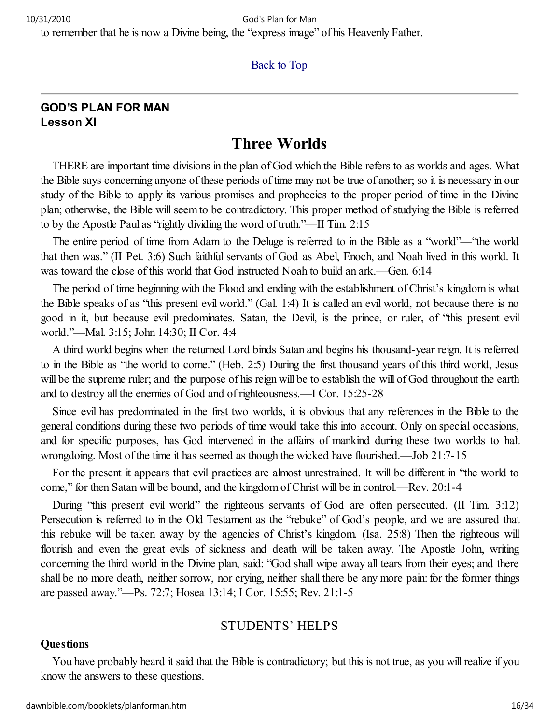to remember that he is now a Divine being, the "express image" of his Heavenly Father.

#### Back to Top

## GOD'S PLAN FOR MAN Lesson XI

# Three Worlds

THERE are important time divisions in the plan of God which the Bible refers to as worlds and ages. What the Bible says concerning anyone of these periods of time may not be true of another; so it is necessary in our study of the Bible to apply its various promises and prophecies to the proper period of time in the Divine plan; otherwise, the Bible will seem to be contradictory. This proper method of studying the Bible is referred to by the Apostle Paul as "rightly dividing the word of truth."—II Tim. 2:15

The entire period of time from Adam to the Deluge is referred to in the Bible as a "world"—"the world that then was." (II Pet. 3:6) Such faithful servants of God as Abel, Enoch, and Noah lived in this world. It was toward the close of this world that God instructed Noah to build an ark.—Gen. 6:14

The period of time beginning with the Flood and ending with the establishment of Christ's kingdom is what the Bible speaks of as "this present evil world." (Gal. 1:4) It is called an evil world, not because there is no good in it, but because evil predominates. Satan, the Devil, is the prince, or ruler, of "this present evil world."—Mal. 3:15; John 14:30; II Cor. 4:4

A third world begins when the returned Lord binds Satan and begins his thousand-year reign. It is referred to in the Bible as "the world to come." (Heb. 2:5) During the first thousand years of this third world, Jesus will be the supreme ruler; and the purpose of his reign will be to establish the will of God throughout the earth and to destroy all the enemies of God and of righteousness.—I Cor. 15:25-28

Since evil has predominated in the first two worlds, it is obvious that any references in the Bible to the general conditions during these two periods of time would take this into account. Only on special occasions, and for specific purposes, has God intervened in the affairs of mankind during these two worlds to halt wrongdoing. Most of the time it has seemed as though the wicked have flourished.—Job 21:7-15

For the present it appears that evil practices are almost unrestrained. It will be different in "the world to come," for then Satan will be bound, and the kingdom of Christ will be in control.—Rev. 20:1-4

During "this present evil world" the righteous servants of God are often persecuted. (II Tim. 3:12) Persecution is referred to in the Old Testament as the "rebuke" of God's people, and we are assured that this rebuke will be taken away by the agencies of Christ's kingdom. (Isa. 25:8) Then the righteous will flourish and even the great evils of sickness and death will be taken away. The Apostle John, writing concerning the third world in the Divine plan, said: "God shall wipe away all tears from their eyes; and there shall be no more death, neither sorrow, nor crying, neither shall there be any more pain: for the former things are passed away."—Ps. 72:7; Hosea 13:14; I Cor. 15:55; Rev. 21:1-5

#### STUDENTS' HELPS

#### **Questions**

You have probably heard it said that the Bible is contradictory; but this is not true, as you will realize if you know the answers to these questions.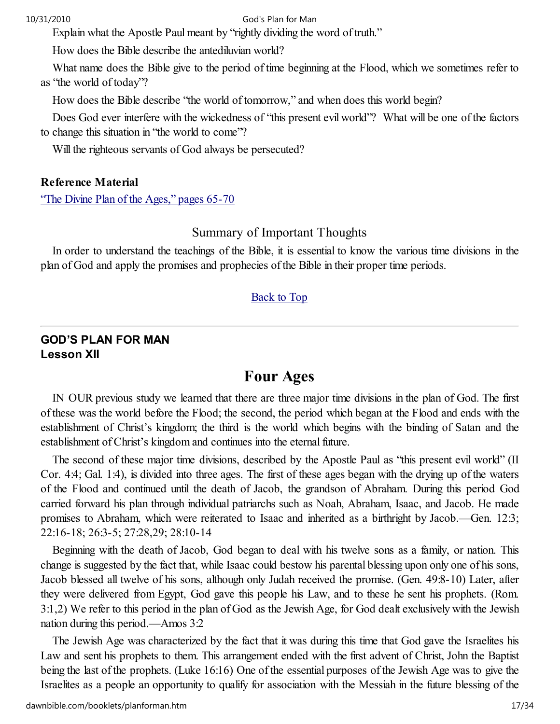Explain what the Apostle Paul meant by "rightly dividing the word of truth."

How does the Bible describe the antediluvian world?

What name does the Bible give to the period of time beginning at the Flood, which we sometimes refer to as "the world of today"?

How does the Bible describe "the world of tomorrow," and when does this world begin?

Does God ever interfere with the wickedness of "this present evil world"? What will be one of the factors to change this situation in "the world to come"?

Will the righteous servants of God always be persecuted?

#### Reference Material

"The Divine Plan of the Ages," pages 65-70

#### Summary of Important Thoughts

In order to understand the teachings of the Bible, it is essential to know the various time divisions in the plan of God and apply the promises and prophecies of the Bible in their proper time periods.

#### Back to Top

#### GOD'S PLAN FOR MAN Lesson XII

# Four Ages

IN OUR previous study we learned that there are three major time divisions in the plan of God. The first of these was the world before the Flood; the second, the period which began at the Flood and ends with the establishment of Christ's kingdom; the third is the world which begins with the binding of Satan and the establishment of Christ's kingdom and continues into the eternal future.

The second of these major time divisions, described by the Apostle Paul as "this present evil world" (II Cor. 4:4; Gal. 1:4), is divided into three ages. The first of these ages began with the drying up of the waters of the Flood and continued until the death of Jacob, the grandson of Abraham. During this period God carried forward his plan through individual patriarchs such as Noah, Abraham, Isaac, and Jacob. He made promises to Abraham, which were reiterated to Isaac and inherited as a birthright by Jacob.—Gen. 12:3; 22:16-18; 26:3-5; 27:28,29; 28:10-14

Beginning with the death of Jacob, God began to deal with his twelve sons as a family, or nation. This change is suggested by the fact that, while Isaac could bestow his parental blessing upon only one of his sons, Jacob blessed all twelve of his sons, although only Judah received the promise. (Gen. 49:8-10) Later, after they were delivered from Egypt, God gave this people his Law, and to these he sent his prophets. (Rom. 3:1,2) We refer to this period in the plan of God as the Jewish Age, for God dealt exclusively with the Jewish nation during this period.—Amos 3:2

The Jewish Age was characterized by the fact that it was during this time that God gave the Israelites his Law and sent his prophets to them. This arrangement ended with the first advent of Christ, John the Baptist being the last of the prophets. (Luke 16:16) One of the essential purposes of the Jewish Age was to give the Israelites as a people an opportunity to qualify for association with the Messiah in the future blessing of the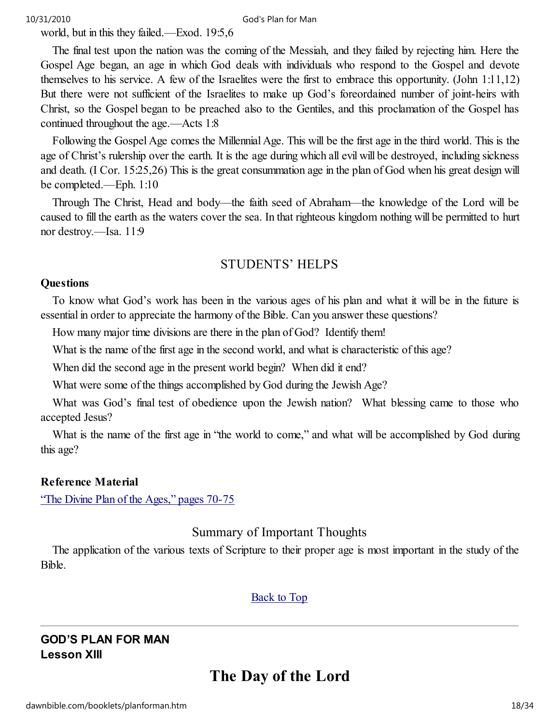world, but in this they failed.—Exod. 19:5,6

The final test upon the nation was the coming of the Messiah, and they failed by rejecting him. Here the Gospel Age began, an age in which God deals with individuals who respond to the Gospel and devote themselves to his service. A few of the Israelites were the first to embrace this opportunity. (John 1:11,12) But there were not sufficient of the Israelites to make up God's foreordained number of joint-heirs with Christ, so the Gospel began to be preached also to the Gentiles, and this proclamation of the Gospel has continued throughout the age.—Acts 1:8

Following the Gospel Age comes the Millennial Age. This will be the first age in the third world. This is the age of Christ's rulership over the earth. It is the age during which all evil will be destroyed, including sickness and death. (I Cor. 15:25,26) This is the great consummation age in the plan of God when his great design will be completed.—Eph. 1:10

Through The Christ, Head and body—the faith seed of Abraham—the knowledge of the Lord will be caused to fill the earth as the waters cover the sea. In that righteous kingdom nothing will be permitted to hurt nor destroy.—Isa. 11:9

#### STUDENTS' HELPS

#### **Ouestions**

To know what God's work has been in the various ages of his plan and what it will be in the future is essential in order to appreciate the harmony of the Bible. Can you answer these questions?

How many major time divisions are there in the plan of God? Identify them!

What is the name of the first age in the second world, and what is characteristic of this age?

When did the second age in the present world begin? When did it end?

What were some of the things accomplished by God during the Jewish Age?

What was God's final test of obedience upon the Jewish nation? What blessing came to those who accepted Jesus?

What is the name of the first age in "the world to come," and what will be accomplished by God during this age?

#### Reference Material

"The Divine Plan of the Ages," pages 70-75

#### Summary of Important Thoughts

The application of the various texts of Scripture to their proper age is most important in the study of the Bible.

#### Back to Top

#### GOD'S PLAN FOR MAN Lesson XIII

# The Day of the Lord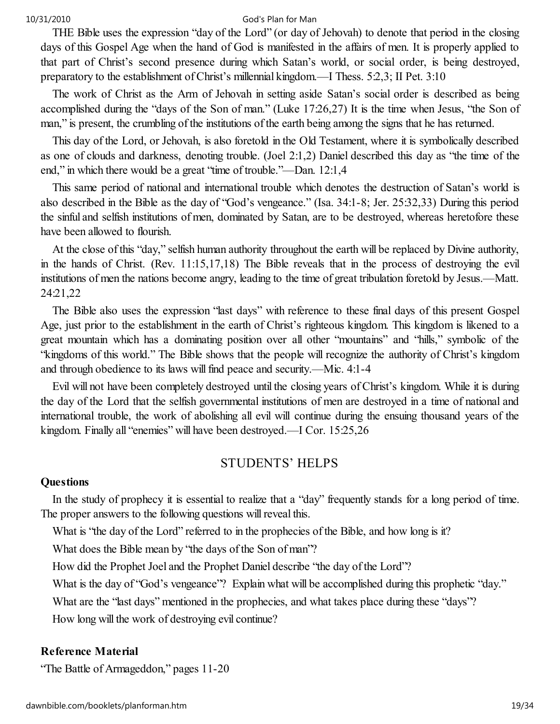THE Bible uses the expression "day of the Lord" (or day of Jehovah) to denote that period in the closing days of this Gospel Age when the hand of God is manifested in the affairs of men. It is properly applied to that part of Christ's second presence during which Satan's world, or social order, is being destroyed, preparatory to the establishment of Christ's millennial kingdom.—I Thess. 5:2,3; II Pet. 3:10

The work of Christ as the Arm of Jehovah in setting aside Satan's social order is described as being accomplished during the "days of the Son of man." (Luke 17:26,27) It is the time when Jesus, "the Son of man," is present, the crumbling of the institutions of the earth being among the signs that he has returned.

This day of the Lord, or Jehovah, is also foretold in the Old Testament, where it is symbolically described as one of clouds and darkness, denoting trouble. (Joel 2:1,2) Daniel described this day as "the time of the end," in which there would be a great "time of trouble."—Dan. 12:1,4

This same period of national and international trouble which denotes the destruction of Satan's world is also described in the Bible as the day of "God's vengeance." (Isa. 34:1-8; Jer. 25:32,33) During this period the sinful and selfish institutions of men, dominated by Satan, are to be destroyed, whereas heretofore these have been allowed to flourish.

At the close of this "day," selfish human authority throughout the earth will be replaced by Divine authority, in the hands of Christ. (Rev. 11:15,17,18) The Bible reveals that in the process of destroying the evil institutions of men the nations become angry, leading to the time of great tribulation foretold by Jesus.—Matt. 24:21,22

The Bible also uses the expression "last days" with reference to these final days of this present Gospel Age, just prior to the establishment in the earth of Christ's righteous kingdom. This kingdom is likened to a great mountain which has a dominating position over all other "mountains" and "hills," symbolic of the "kingdoms of this world." The Bible shows that the people will recognize the authority of Christ's kingdom and through obedience to its laws will find peace and security.—Mic. 4:1-4

Evil will not have been completely destroyed until the closing years of Christ's kingdom. While it is during the day of the Lord that the selfish governmental institutions of men are destroyed in a time of national and international trouble, the work of abolishing all evil will continue during the ensuing thousand years of the kingdom. Finally all "enemies" will have been destroyed.—I Cor. 15:25,26

#### STUDENTS' HELPS

#### **Questions**

In the study of prophecy it is essential to realize that a "day" frequently stands for a long period of time. The proper answers to the following questions will reveal this.

What is "the day of the Lord" referred to in the prophecies of the Bible, and how long is it?

What does the Bible mean by "the days of the Son of man"?

How did the Prophet Joel and the Prophet Daniel describe "the day of the Lord"?

What is the day of "God's vengeance"? Explain what will be accomplished during this prophetic "day."

What are the "last days" mentioned in the prophecies, and what takes place during these "days"?

How long will the work of destroying evil continue?

#### Reference Material

"The Battle of Armageddon," pages 11-20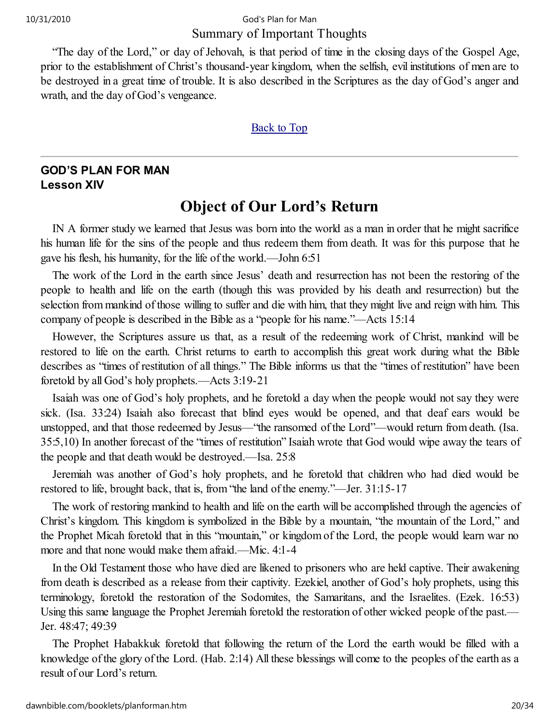### Summary of Important Thoughts 10/31/2010 God's Plan for Man

"The day of the Lord," or day of Jehovah, is that period of time in the closing days of the Gospel Age, prior to the establishment of Christ's thousand-year kingdom, when the selfish, evil institutions of men are to be destroyed in a great time of trouble. It is also described in the Scriptures as the day of God's anger and wrath, and the day of God's vengeance.

#### Back to Top

# GOD'S PLAN FOR MAN Lesson XIV

# Object of Our Lord's Return

IN A former study we learned that Jesus was born into the world as a man in order that he might sacrifice his human life for the sins of the people and thus redeem them from death. It was for this purpose that he gave his flesh, his humanity, for the life of the world.—John 6:51

The work of the Lord in the earth since Jesus' death and resurrection has not been the restoring of the people to health and life on the earth (though this was provided by his death and resurrection) but the selection from mankind of those willing to suffer and die with him, that they might live and reign with him. This company of people is described in the Bible as a "people for his name."—Acts 15:14

However, the Scriptures assure us that, as a result of the redeeming work of Christ, mankind will be restored to life on the earth. Christ returns to earth to accomplish this great work during what the Bible describes as "times of restitution of all things." The Bible informs us that the "times of restitution" have been foretold by all God's holy prophets.—Acts 3:19-21

Isaiah was one of God's holy prophets, and he foretold a day when the people would not say they were sick. (Isa. 33:24) Isaiah also forecast that blind eyes would be opened, and that deaf ears would be unstopped, and that those redeemed by Jesus—"the ransomed of the Lord"—would return from death. (Isa. 35:5,10) In another forecast of the "times of restitution" Isaiah wrote that God would wipe away the tears of the people and that death would be destroyed.—Isa. 25:8

Jeremiah was another of God's holy prophets, and he foretold that children who had died would be restored to life, brought back, that is, from "the land of the enemy."—Jer. 31:15-17

The work of restoring mankind to health and life on the earth will be accomplished through the agencies of Christ's kingdom. This kingdom is symbolized in the Bible by a mountain, "the mountain of the Lord," and the Prophet Micah foretold that in this "mountain," or kingdom of the Lord, the people would learn war no more and that none would make them afraid.—Mic. 4:1-4

In the Old Testament those who have died are likened to prisoners who are held captive. Their awakening from death is described as a release from their captivity. Ezekiel, another of God's holy prophets, using this terminology, foretold the restoration of the Sodomites, the Samaritans, and the Israelites. (Ezek. 16:53) Using this same language the Prophet Jeremiah foretold the restoration of other wicked people of the past.— Jer. 48:47; 49:39

The Prophet Habakkuk foretold that following the return of the Lord the earth would be filled with a knowledge of the glory of the Lord. (Hab. 2:14) All these blessings will come to the peoples of the earth as a result of our Lord's return.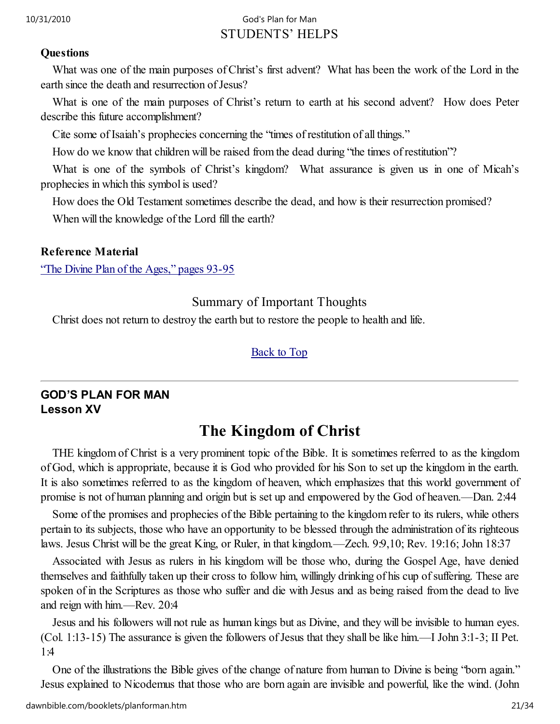# STUDENTS' HELPS 10/31/2010 God's Plan for Man

#### **Ouestions**

What was one of the main purposes of Christ's first advent? What has been the work of the Lord in the earth since the death and resurrection of Jesus?

What is one of the main purposes of Christ's return to earth at his second advent? How does Peter describe this future accomplishment?

Cite some of Isaiah's prophecies concerning the "times of restitution of all things."

How do we know that children will be raised from the dead during "the times of restitution"?

What is one of the symbols of Christ's kingdom? What assurance is given us in one of Micah's prophecies in which this symbol is used?

How does the Old Testament sometimes describe the dead, and how is their resurrection promised?

When will the knowledge of the Lord fill the earth?

## Reference Material

"The Divine Plan of the Ages," pages 93-95

# Summary of Important Thoughts

Christ does not return to destroy the earth but to restore the people to health and life.

## Back to Top

# GOD'S PLAN FOR MAN Lesson XV

# The Kingdom of Christ

THE kingdom of Christ is a very prominent topic of the Bible. It is sometimes referred to as the kingdom of God, which is appropriate, because it is God who provided for his Son to set up the kingdom in the earth. It is also sometimes referred to as the kingdom of heaven, which emphasizes that this world government of promise is not of human planning and origin but is set up and empowered by the God of heaven.—Dan. 2:44

Some of the promises and prophecies of the Bible pertaining to the kingdom refer to its rulers, while others pertain to its subjects, those who have an opportunity to be blessed through the administration of its righteous laws. Jesus Christ will be the great King, or Ruler, in that kingdom.—Zech. 9:9,10; Rev. 19:16; John 18:37

Associated with Jesus as rulers in his kingdom will be those who, during the Gospel Age, have denied themselves and faithfully taken up their cross to follow him, willingly drinking of his cup of suffering. These are spoken of in the Scriptures as those who suffer and die with Jesus and as being raised from the dead to live and reign with him.—Rev. 20:4

Jesus and his followers will not rule as human kings but as Divine, and they will be invisible to human eyes. (Col. 1:13-15) The assurance is given the followers of Jesus that they shall be like him.—I John 3:1-3; II Pet. 1:4

One of the illustrations the Bible gives of the change of nature from human to Divine is being "born again." Jesus explained to Nicodemus that those who are born again are invisible and powerful, like the wind. (John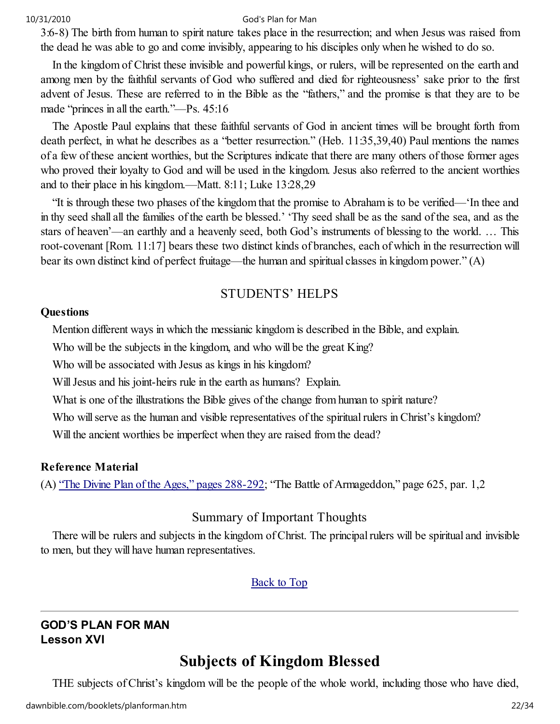3:6-8) The birth from human to spirit nature takes place in the resurrection; and when Jesus was raised from the dead he was able to go and come invisibly, appearing to his disciples only when he wished to do so.

In the kingdom of Christ these invisible and powerful kings, or rulers, will be represented on the earth and among men by the faithful servants of God who suffered and died for righteousness' sake prior to the first advent of Jesus. These are referred to in the Bible as the "fathers," and the promise is that they are to be made "princes in all the earth."—Ps. 45:16

The Apostle Paul explains that these faithful servants of God in ancient times will be brought forth from death perfect, in what he describes as a "better resurrection." (Heb. 11:35,39,40) Paul mentions the names of a few of these ancient worthies, but the Scriptures indicate that there are many others of those former ages who proved their loyalty to God and will be used in the kingdom. Jesus also referred to the ancient worthies and to their place in his kingdom.—Matt. 8:11; Luke 13:28,29

"It is through these two phases of the kingdom that the promise to Abraham is to be verified—'In thee and in thy seed shall all the families of the earth be blessed.' 'Thy seed shall be as the sand of the sea, and as the stars of heaven'—an earthly and a heavenly seed, both God's instruments of blessing to the world. … This root-covenant [Rom. 11:17] bears these two distinct kinds of branches, each of which in the resurrection will bear its own distinct kind of perfect fruitage—the human and spiritual classes in kingdom power." (A)

## STUDENTS' HELPS

#### **Questions**

Mention different ways in which the messianic kingdom is described in the Bible, and explain.

Who will be the subjects in the kingdom, and who will be the great King?

Who will be associated with Jesus as kings in his kingdom?

Will Jesus and his joint-heirs rule in the earth as humans? Explain.

What is one of the illustrations the Bible gives of the change from human to spirit nature?

Who will serve as the human and visible representatives of the spiritual rulers in Christ's kingdom?

Will the ancient worthies be imperfect when they are raised from the dead?

#### Reference Material

(A) "The Divine Plan of the Ages," pages 288-292; "The Battle of Armageddon," page 625, par. 1,2

# Summary of Important Thoughts

There will be rulers and subjects in the kingdom of Christ. The principal rulers will be spiritual and invisible to men, but they will have human representatives.

## Back to Top

#### GOD'S PLAN FOR MAN Lesson XVI

# Subjects of Kingdom Blessed

THE subjects of Christ's kingdom will be the people of the whole world, including those who have died,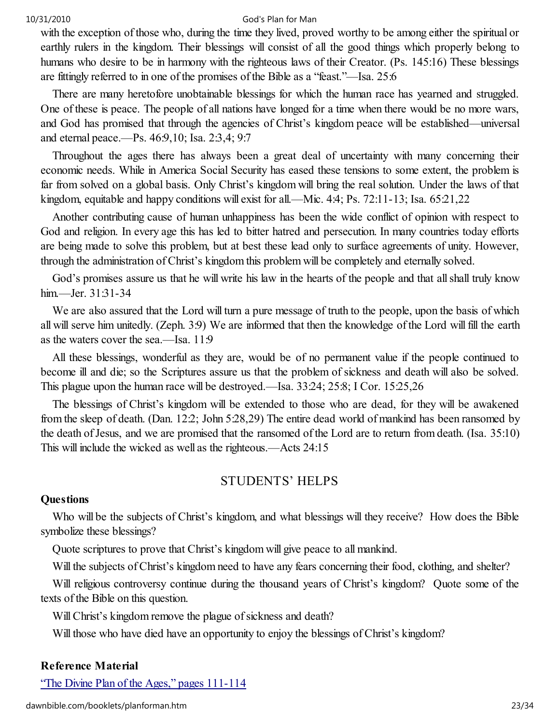with the exception of those who, during the time they lived, proved worthy to be among either the spiritual or earthly rulers in the kingdom. Their blessings will consist of all the good things which properly belong to humans who desire to be in harmony with the righteous laws of their Creator. (Ps. 145:16) These blessings are fittingly referred to in one of the promises of the Bible as a "feast."—Isa. 25:6

There are many heretofore unobtainable blessings for which the human race has yearned and struggled. One of these is peace. The people of all nations have longed for a time when there would be no more wars, and God has promised that through the agencies of Christ's kingdom peace will be established—universal and eternal peace.—Ps. 46:9,10; Isa. 2:3,4; 9:7

Throughout the ages there has always been a great deal of uncertainty with many concerning their economic needs. While in America Social Security has eased these tensions to some extent, the problem is far from solved on a global basis. Only Christ's kingdom will bring the real solution. Under the laws of that kingdom, equitable and happy conditions will exist for all.—Mic. 4:4; Ps. 72:11-13; Isa. 65:21,22

Another contributing cause of human unhappiness has been the wide conflict of opinion with respect to God and religion. In every age this has led to bitter hatred and persecution. In many countries today efforts are being made to solve this problem, but at best these lead only to surface agreements of unity. However, through the administration of Christ's kingdom this problem will be completely and eternally solved.

God's promises assure us that he will write his law in the hearts of the people and that all shall truly know him.—Jer. 31:31-34

We are also assured that the Lord will turn a pure message of truth to the people, upon the basis of which all will serve him unitedly. (Zeph. 3:9) We are informed that then the knowledge of the Lord will fill the earth as the waters cover the sea.—Isa. 11:9

All these blessings, wonderful as they are, would be of no permanent value if the people continued to become ill and die; so the Scriptures assure us that the problem of sickness and death will also be solved. This plague upon the human race will be destroyed.—Isa. 33:24; 25:8; I Cor. 15:25,26

The blessings of Christ's kingdom will be extended to those who are dead, for they will be awakened from the sleep of death. (Dan. 12:2; John 5:28,29) The entire dead world of mankind has been ransomed by the death of Jesus, and we are promised that the ransomed of the Lord are to return from death. (Isa. 35:10) This will include the wicked as well as the righteous.—Acts 24:15

## STUDENTS' HELPS

#### **Questions**

Who will be the subjects of Christ's kingdom, and what blessings will they receive? How does the Bible symbolize these blessings?

Quote scriptures to prove that Christ's kingdom will give peace to all mankind.

Will the subjects of Christ's kingdom need to have any fears concerning their food, clothing, and shelter?

Will religious controversy continue during the thousand years of Christ's kingdom? Ouote some of the texts of the Bible on this question.

Will Christ's kingdom remove the plague of sickness and death?

Will those who have died have an opportunity to enjoy the blessings of Christ's kingdom?

#### Reference Material

"The Divine Plan of the Ages," pages 111-114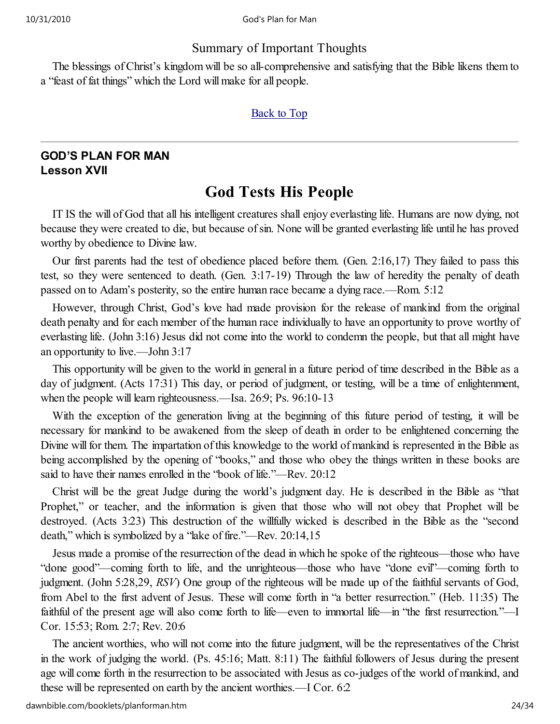## Summary of Important Thoughts

The blessings of Christ's kingdom will be so all-comprehensive and satisfying that the Bible likens them to a "feast of fat things" which the Lord will make for all people.

#### **Back to Top**

# GOD'S PLAN FOR MAN Lesson XVII

# God Tests His People

IT IS the will of God that all his intelligent creatures shall enjoy everlasting life. Humans are now dying, not because they were created to die, but because of sin. None will be granted everlasting life until he has proved worthy by obedience to Divine law.

Our first parents had the test of obedience placed before them. (Gen. 2:16,17) They failed to pass this test, so they were sentenced to death. (Gen. 3:17-19) Through the law of heredity the penalty of death passed on to Adam's posterity, so the entire human race became a dying race.—Rom. 5:12

However, through Christ, God's love had made provision for the release of mankind from the original death penalty and for each member of the human race individually to have an opportunity to prove worthy of everlasting life. (John 3:16) Jesus did not come into the world to condemn the people, but that all might have an opportunity to live.—John 3:17

This opportunity will be given to the world in general in a future period of time described in the Bible as a day of judgment. (Acts 17:31) This day, or period of judgment, or testing, will be a time of enlightenment, when the people will learn righteousness.—Isa. 26:9; Ps. 96:10-13

With the exception of the generation living at the beginning of this future period of testing, it will be necessary for mankind to be awakened from the sleep of death in order to be enlightened concerning the Divine will for them. The impartation of this knowledge to the world of mankind is represented in the Bible as being accomplished by the opening of "books," and those who obey the things written in these books are said to have their names enrolled in the "book of life."—Rev. 20:12

Christ will be the great Judge during the world's judgment day. He is described in the Bible as "that Prophet," or teacher, and the information is given that those who will not obey that Prophet will be destroyed. (Acts 3:23) This destruction of the willfully wicked is described in the Bible as the "second death," which is symbolized by a "lake of fire."—Rev. 20:14,15

Jesus made a promise of the resurrection of the dead in which he spoke of the righteous—those who have "done good"—coming forth to life, and the unrighteous—those who have "done evil"—coming forth to judgment. (John 5:28,29, RSV) One group of the righteous will be made up of the faithful servants of God, from Abel to the first advent of Jesus. These will come forth in "a better resurrection." (Heb. 11:35) The faithful of the present age will also come forth to life—even to immortal life—in "the first resurrection."—I Cor. 15:53; Rom. 2:7; Rev. 20:6

The ancient worthies, who will not come into the future judgment, will be the representatives of the Christ in the work of judging the world. (Ps. 45:16; Matt. 8:11) The faithful followers of Jesus during the present age will come forth in the resurrection to be associated with Jesus as co-judges of the world of mankind, and these will be represented on earth by the ancient worthies.—I Cor. 6:2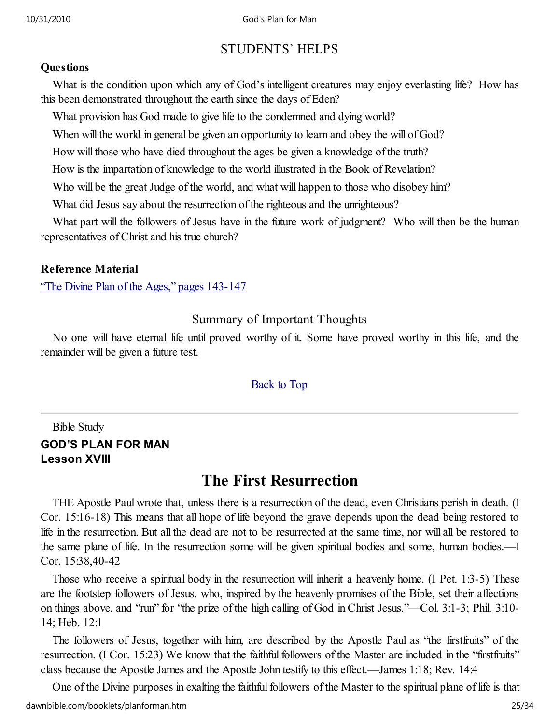# STUDENTS' HELPS

#### **Ouestions**

What is the condition upon which any of God's intelligent creatures may enjoy everlasting life? How has this been demonstrated throughout the earth since the days of Eden?

What provision has God made to give life to the condemned and dying world?

When will the world in general be given an opportunity to learn and obey the will of God?

How will those who have died throughout the ages be given a knowledge of the truth?

How is the impartation of knowledge to the world illustrated in the Book of Revelation?

Who will be the great Judge of the world, and what will happen to those who disobey him?

What did Jesus say about the resurrection of the righteous and the unrighteous?

What part will the followers of Jesus have in the future work of judgment? Who will then be the human representatives of Christ and his true church?

## Reference Material

"The Divine Plan of the Ages," pages 143-147

# Summary of Important Thoughts

No one will have eternal life until proved worthy of it. Some have proved worthy in this life, and the remainder will be given a future test.

## Back to Top

# Bible Study GOD'S PLAN FOR MAN Lesson XVIII

# The First Resurrection

THE Apostle Paul wrote that, unless there is a resurrection of the dead, even Christians perish in death. (I Cor. 15:16-18) This means that all hope of life beyond the grave depends upon the dead being restored to life in the resurrection. But all the dead are not to be resurrected at the same time, nor will all be restored to the same plane of life. In the resurrection some will be given spiritual bodies and some, human bodies.—I Cor. 15:38,40-42

Those who receive a spiritual body in the resurrection will inherit a heavenly home. (I Pet. 1:3-5) These are the footstep followers of Jesus, who, inspired by the heavenly promises of the Bible, set their affections on things above, and "run" for "the prize of the high calling of God in Christ Jesus."—Col. 3:1-3; Phil. 3:10- 14; Heb. 12:1

The followers of Jesus, together with him, are described by the Apostle Paul as "the firstfruits" of the resurrection. (I Cor. 15:23) We know that the faithful followers of the Master are included in the "firstfruits" class because the Apostle James and the Apostle John testify to this effect.—James 1:18; Rev. 14:4

One of the Divine purposes in exalting the faithful followers of the Master to the spiritual plane of life is that dawnbible.com/booklets/planforman.htm 25/34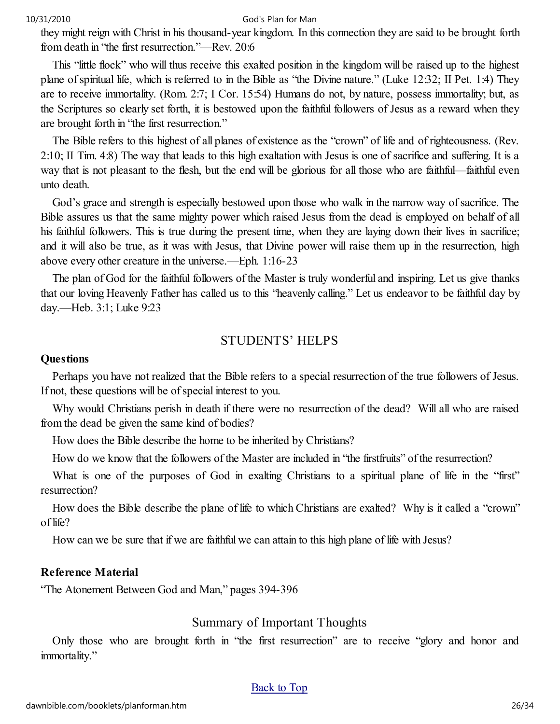they might reign with Christ in his thousand-year kingdom. In this connection they are said to be brought forth from death in "the first resurrection."—Rev. 20:6

This "little flock" who will thus receive this exalted position in the kingdom will be raised up to the highest plane of spiritual life, which is referred to in the Bible as "the Divine nature." (Luke 12:32; II Pet. 1:4) They are to receive immortality. (Rom. 2:7; I Cor. 15:54) Humans do not, by nature, possess immortality; but, as the Scriptures so clearly set forth, it is bestowed upon the faithful followers of Jesus as a reward when they are brought forth in "the first resurrection."

The Bible refers to this highest of all planes of existence as the "crown" of life and of righteousness. (Rev. 2:10; II Tim. 4:8) The way that leads to this high exaltation with Jesus is one of sacrifice and suffering. It is a way that is not pleasant to the flesh, but the end will be glorious for all those who are faithful—faithful even unto death.

God's grace and strength is especially bestowed upon those who walk in the narrow way of sacrifice. The Bible assures us that the same mighty power which raised Jesus from the dead is employed on behalf of all his faithful followers. This is true during the present time, when they are laying down their lives in sacrifice; and it will also be true, as it was with Jesus, that Divine power will raise them up in the resurrection, high above every other creature in the universe.—Eph. 1:16-23

The plan of God for the faithful followers of the Master is truly wonderful and inspiring. Let us give thanks that our loving Heavenly Father has called us to this "heavenly calling." Let us endeavor to be faithful day by day.—Heb. 3:1; Luke 9:23

#### STUDENTS' HELPS

#### **Questions**

Perhaps you have not realized that the Bible refers to a special resurrection of the true followers of Jesus. If not, these questions will be of special interest to you.

Why would Christians perish in death if there were no resurrection of the dead? Will all who are raised from the dead be given the same kind of bodies?

How does the Bible describe the home to be inherited by Christians?

How do we know that the followers of the Master are included in "the firstfruits" of the resurrection?

What is one of the purposes of God in exalting Christians to a spiritual plane of life in the "first" resurrection?

How does the Bible describe the plane of life to which Christians are exalted? Why is it called a "crown" of life?

How can we be sure that if we are faithful we can attain to this high plane of life with Jesus?

#### Reference Material

"The Atonement Between God and Man," pages 394-396

#### Summary of Important Thoughts

Only those who are brought forth in "the first resurrection" are to receive "glory and honor and immortality."

#### **Back to Top**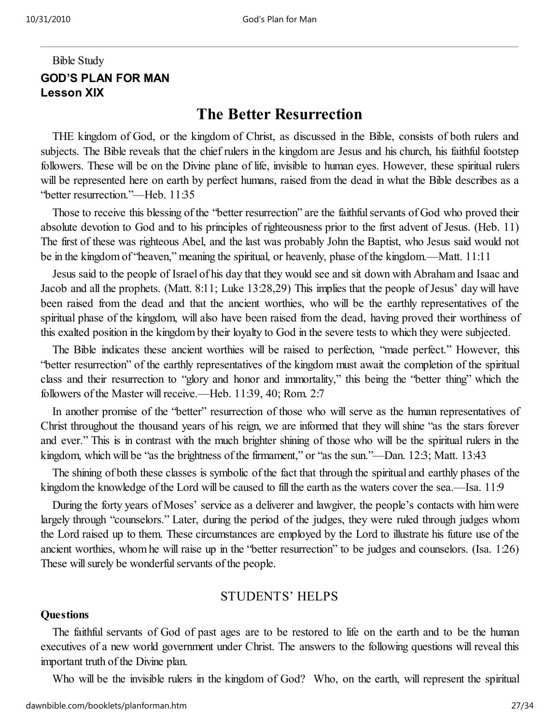# Bible Study GOD'S PLAN FOR MAN Lesson XIX

# The Better Resurrection

THE kingdom of God, or the kingdom of Christ, as discussed in the Bible, consists of both rulers and subjects. The Bible reveals that the chief rulers in the kingdom are Jesus and his church, his faithful footstep followers. These will be on the Divine plane of life, invisible to human eyes. However, these spiritual rulers will be represented here on earth by perfect humans, raised from the dead in what the Bible describes as a "better resurrection."—Heb. 11:35

Those to receive this blessing of the "better resurrection" are the faithful servants of God who proved their absolute devotion to God and to his principles of righteousness prior to the first advent of Jesus. (Heb. 11) The first of these was righteous Abel, and the last was probably John the Baptist, who Jesus said would not be in the kingdom of "heaven," meaning the spiritual, or heavenly, phase of the kingdom.—Matt. 11:11

Jesus said to the people of Israel of his day that they would see and sit down with Abraham and Isaac and Jacob and all the prophets. (Matt. 8:11; Luke 13:28,29) This implies that the people of Jesus' day will have been raised from the dead and that the ancient worthies, who will be the earthly representatives of the spiritual phase of the kingdom, will also have been raised from the dead, having proved their worthiness of this exalted position in the kingdom by their loyalty to God in the severe tests to which they were subjected.

The Bible indicates these ancient worthies will be raised to perfection, "made perfect." However, this "better resurrection" of the earthly representatives of the kingdom must await the completion of the spiritual class and their resurrection to "glory and honor and immortality," this being the "better thing" which the followers of the Master will receive.—Heb. 11:39, 40; Rom. 2:7

In another promise of the "better" resurrection of those who will serve as the human representatives of Christ throughout the thousand years of his reign, we are informed that they will shine "as the stars forever and ever." This is in contrast with the much brighter shining of those who will be the spiritual rulers in the kingdom, which will be "as the brightness of the firmament," or "as the sun."—Dan. 12:3; Matt. 13:43

The shining of both these classes is symbolic of the fact that through the spiritual and earthly phases of the kingdom the knowledge of the Lord will be caused to fill the earth as the waters cover the sea.—Isa. 11:9

During the forty years of Moses' service as a deliverer and lawgiver, the people's contacts with him were largely through "counselors." Later, during the period of the judges, they were ruled through judges whom the Lord raised up to them. These circumstances are employed by the Lord to illustrate his future use of the ancient worthies, whom he will raise up in the "better resurrection" to be judges and counselors. (Isa. 1:26) These will surely be wonderful servants of the people.

#### STUDENTS' HELPS

#### **Ouestions**

The faithful servants of God of past ages are to be restored to life on the earth and to be the human executives of a new world government under Christ. The answers to the following questions will reveal this important truth of the Divine plan.

Who will be the invisible rulers in the kingdom of God? Who, on the earth, will represent the spiritual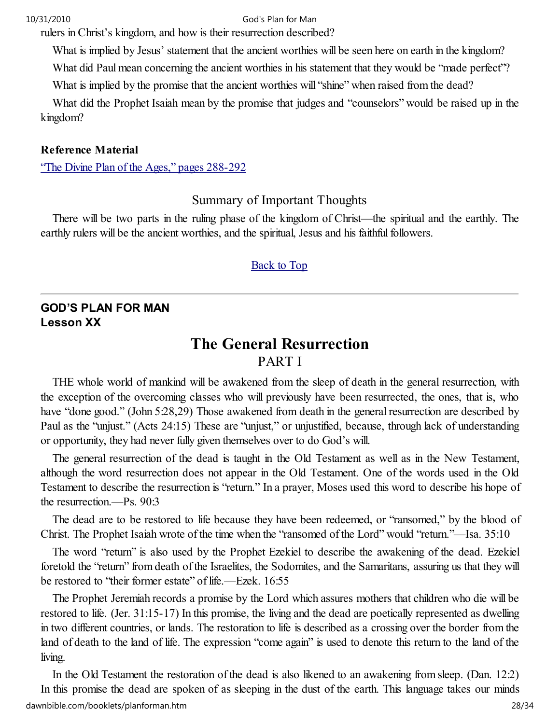rulers in Christ's kingdom, and how is their resurrection described?

What is implied by Jesus' statement that the ancient worthies will be seen here on earth in the kingdom?

What did Paul mean concerning the ancient worthies in his statement that they would be "made perfect"?

What is implied by the promise that the ancient worthies will "shine" when raised from the dead?

What did the Prophet Isaiah mean by the promise that judges and "counselors" would be raised up in the kingdom?

#### Reference Material

"The Divine Plan of the Ages," pages 288-292

Summary of Important Thoughts

There will be two parts in the ruling phase of the kingdom of Christ—the spiritual and the earthly. The earthly rulers will be the ancient worthies, and the spiritual, Jesus and his faithful followers.

#### Back to Top

#### GOD'S PLAN FOR MAN Lesson XX

# The General Resurrection

## PART I

THE whole world of mankind will be awakened from the sleep of death in the general resurrection, with the exception of the overcoming classes who will previously have been resurrected, the ones, that is, who have "done good." (John 5:28,29) Those awakened from death in the general resurrection are described by Paul as the "unjust." (Acts 24:15) These are "unjust," or unjustified, because, through lack of understanding or opportunity, they had never fully given themselves over to do God's will.

The general resurrection of the dead is taught in the Old Testament as well as in the New Testament, although the word resurrection does not appear in the Old Testament. One of the words used in the Old Testament to describe the resurrection is "return." In a prayer, Moses used this word to describe his hope of the resurrection.—Ps. 90:3

The dead are to be restored to life because they have been redeemed, or "ransomed," by the blood of Christ. The Prophet Isaiah wrote of the time when the "ransomed of the Lord" would "return."—Isa. 35:10

The word "return" is also used by the Prophet Ezekiel to describe the awakening of the dead. Ezekiel foretold the "return" from death of the Israelites, the Sodomites, and the Samaritans, assuring us that they will be restored to "their former estate" of life.—Ezek. 16:55

The Prophet Jeremiah records a promise by the Lord which assures mothers that children who die will be restored to life. (Jer. 31:15-17) In this promise, the living and the dead are poetically represented as dwelling in two different countries, or lands. The restoration to life is described as a crossing over the border from the land of death to the land of life. The expression "come again" is used to denote this return to the land of the living.

In the Old Testament the restoration of the dead is also likened to an awakening from sleep. (Dan. 12:2) In this promise the dead are spoken of as sleeping in the dust of the earth. This language takes our minds dawnbible.com/booklets/planforman.htm 28/34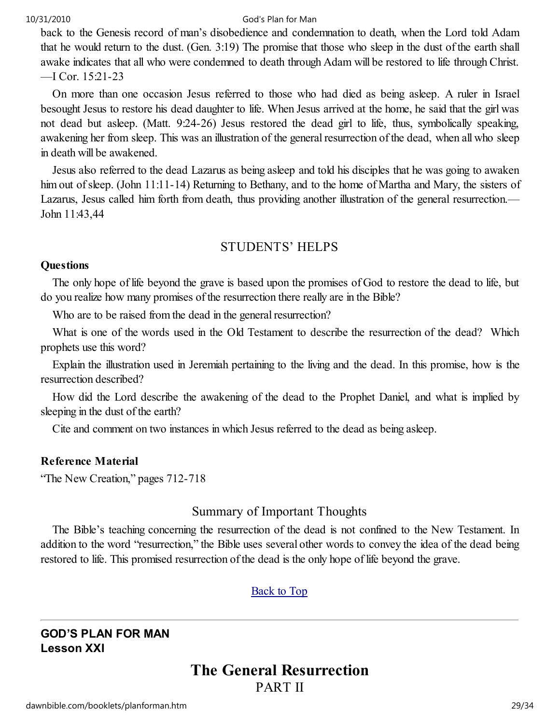back to the Genesis record of man's disobedience and condemnation to death, when the Lord told Adam that he would return to the dust. (Gen. 3:19) The promise that those who sleep in the dust of the earth shall awake indicates that all who were condemned to death through Adam will be restored to life through Christ. —I Cor. 15:21-23

On more than one occasion Jesus referred to those who had died as being asleep. A ruler in Israel besought Jesus to restore his dead daughter to life. When Jesus arrived at the home, he said that the girl was not dead but asleep. (Matt. 9:24-26) Jesus restored the dead girl to life, thus, symbolically speaking, awakening her from sleep. This was an illustration of the general resurrection of the dead, when all who sleep in death will be awakened.

Jesus also referred to the dead Lazarus as being asleep and told his disciples that he was going to awaken him out of sleep. (John 11:11-14) Returning to Bethany, and to the home of Martha and Mary, the sisters of Lazarus, Jesus called him forth from death, thus providing another illustration of the general resurrection.— John 11:43,44

## STUDENTS' HELPS

#### **Questions**

The only hope of life beyond the grave is based upon the promises of God to restore the dead to life, but do you realize how many promises of the resurrection there really are in the Bible?

Who are to be raised from the dead in the general resurrection?

What is one of the words used in the Old Testament to describe the resurrection of the dead? Which prophets use this word?

Explain the illustration used in Jeremiah pertaining to the living and the dead. In this promise, how is the resurrection described?

How did the Lord describe the awakening of the dead to the Prophet Daniel, and what is implied by sleeping in the dust of the earth?

Cite and comment on two instances in which Jesus referred to the dead as being asleep.

#### Reference Material

"The New Creation," pages 712-718

## Summary of Important Thoughts

The Bible's teaching concerning the resurrection of the dead is not confined to the New Testament. In addition to the word "resurrection," the Bible uses several other words to convey the idea of the dead being restored to life. This promised resurrection of the dead is the only hope of life beyond the grave.

#### Back to Top

## GOD'S PLAN FOR MAN Lesson XXI

# The General Resurrection PART II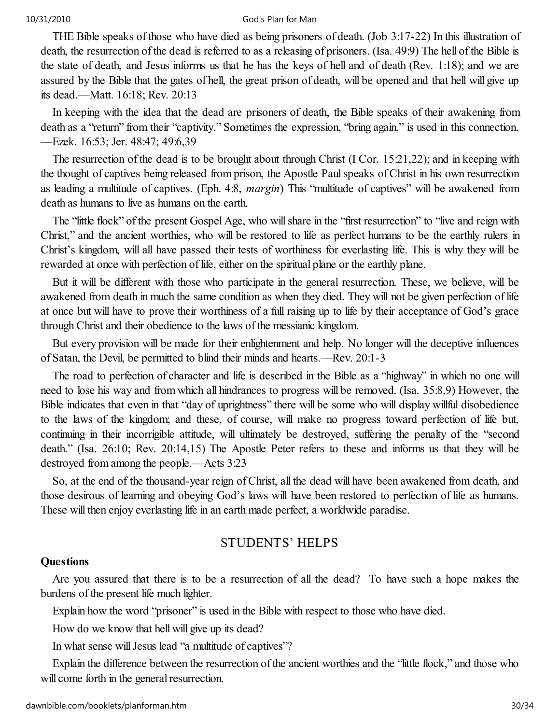THE Bible speaks of those who have died as being prisoners of death. (Job 3:17-22) In this illustration of death, the resurrection of the dead is referred to as a releasing of prisoners. (Isa. 49:9) The hell of the Bible is the state of death, and Jesus informs us that he has the keys of hell and of death (Rev. 1:18); and we are assured by the Bible that the gates of hell, the great prison of death, will be opened and that hell will give up its dead.—Matt. 16:18; Rev. 20:13

In keeping with the idea that the dead are prisoners of death, the Bible speaks of their awakening from death as a "return" from their "captivity." Sometimes the expression, "bring again," is used in this connection. —Ezek. 16:53; Jer. 48:47; 49:6,39

The resurrection of the dead is to be brought about through Christ (I Cor. 15:21,22); and in keeping with the thought of captives being released from prison, the Apostle Paul speaks of Christ in his own resurrection as leading a multitude of captives. (Eph. 4:8, margin) This "multitude of captives" will be awakened from death as humans to live as humans on the earth.

The "little flock" of the present Gospel Age, who will share in the "first resurrection" to "live and reign with Christ," and the ancient worthies, who will be restored to life as perfect humans to be the earthly rulers in Christ's kingdom, will all have passed their tests of worthiness for everlasting life. This is why they will be rewarded at once with perfection of life, either on the spiritual plane or the earthly plane.

But it will be different with those who participate in the general resurrection. These, we believe, will be awakened from death in much the same condition as when they died. They will not be given perfection of life at once but will have to prove their worthiness of a full raising up to life by their acceptance of God's grace through Christ and their obedience to the laws of the messianic kingdom.

But every provision will be made for their enlightenment and help. No longer will the deceptive influences of Satan, the Devil, be permitted to blind their minds and hearts.—Rev. 20:1-3

The road to perfection of character and life is described in the Bible as a "highway" in which no one will need to lose his way and from which all hindrances to progress will be removed. (Isa. 35:8,9) However, the Bible indicates that even in that "day of uprightness" there will be some who will display willful disobedience to the laws of the kingdom; and these, of course, will make no progress toward perfection of life but, continuing in their incorrigible attitude, will ultimately be destroyed, suffering the penalty of the "second death." (Isa. 26:10; Rev. 20:14,15) The Apostle Peter refers to these and informs us that they will be destroyed from among the people.—Acts 3:23

So, at the end of the thousand-year reign of Christ, all the dead will have been awakened from death, and those desirous of learning and obeying God's laws will have been restored to perfection of life as humans. These will then enjoy everlasting life in an earth made perfect, a worldwide paradise.

## STUDENTS' HELPS

#### **Questions**

Are you assured that there is to be a resurrection of all the dead? To have such a hope makes the burdens of the present life much lighter.

Explain how the word "prisoner" is used in the Bible with respect to those who have died.

How do we know that hell will give up its dead?

In what sense will Jesus lead "a multitude of captives"?

Explain the difference between the resurrection of the ancient worthies and the "little flock," and those who will come forth in the general resurrection.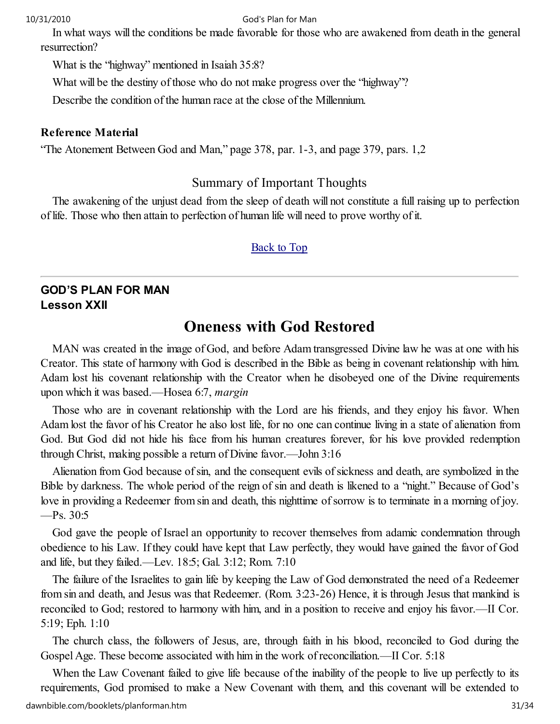In what ways will the conditions be made favorable for those who are awakened from death in the general resurrection?

What is the "highway" mentioned in Isaiah 35:8?

What will be the destiny of those who do not make progress over the "highway"?

Describe the condition of the human race at the close of the Millennium.

#### Reference Material

"The Atonement Between God and Man," page 378, par. 1-3, and page 379, pars. 1,2

## Summary of Important Thoughts

The awakening of the unjust dead from the sleep of death will not constitute a full raising up to perfection of life. Those who then attain to perfection of human life will need to prove worthy of it.

#### Back to Top

# GOD'S PLAN FOR MAN Lesson XXII

# Oneness with God Restored

MAN was created in the image of God, and before Adam transgressed Divine law he was at one with his Creator. This state of harmony with God is described in the Bible as being in covenant relationship with him. Adam lost his covenant relationship with the Creator when he disobeyed one of the Divine requirements upon which it was based.—Hosea 6:7, margin

Those who are in covenant relationship with the Lord are his friends, and they enjoy his favor. When Adam lost the favor of his Creator he also lost life, for no one can continue living in a state of alienation from God. But God did not hide his face from his human creatures forever, for his love provided redemption through Christ, making possible a return of Divine favor.—John 3:16

Alienation from God because of sin, and the consequent evils of sickness and death, are symbolized in the Bible by darkness. The whole period of the reign of sin and death is likened to a "night." Because of God's love in providing a Redeemer from sin and death, this nighttime of sorrow is to terminate in a morning of joy.  $-$ Ps. 30:5

God gave the people of Israel an opportunity to recover themselves from adamic condemnation through obedience to his Law. If they could have kept that Law perfectly, they would have gained the favor of God and life, but they failed.—Lev. 18:5; Gal. 3:12; Rom. 7:10

The failure of the Israelites to gain life by keeping the Law of God demonstrated the need of a Redeemer from sin and death, and Jesus was that Redeemer. (Rom. 3:23-26) Hence, it is through Jesus that mankind is reconciled to God; restored to harmony with him, and in a position to receive and enjoy his favor.—II Cor. 5:19; Eph. 1:10

The church class, the followers of Jesus, are, through faith in his blood, reconciled to God during the Gospel Age. These become associated with him in the work of reconciliation.—II Cor. 5:18

When the Law Covenant failed to give life because of the inability of the people to live up perfectly to its requirements, God promised to make a New Covenant with them, and this covenant will be extended to dawnbible.com/booklets/planforman.htm 31/34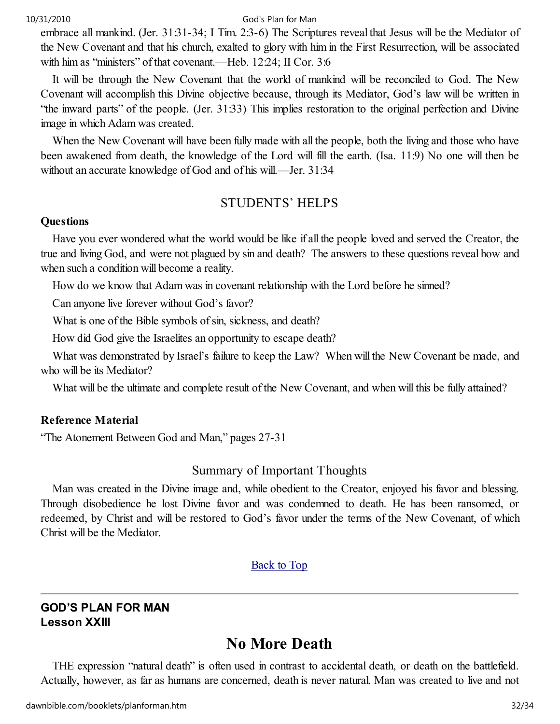embrace all mankind. (Jer. 31:31-34; I Tim. 2:3-6) The Scriptures reveal that Jesus will be the Mediator of the New Covenant and that his church, exalted to glory with him in the First Resurrection, will be associated with him as "ministers" of that covenant.—Heb. 12:24; II Cor. 3:6

It will be through the New Covenant that the world of mankind will be reconciled to God. The New Covenant will accomplish this Divine objective because, through its Mediator, God's law will be written in "the inward parts" of the people. (Jer. 31:33) This implies restoration to the original perfection and Divine image in which Adam was created.

When the New Covenant will have been fully made with all the people, both the living and those who have been awakened from death, the knowledge of the Lord will fill the earth. (Isa. 11:9) No one will then be without an accurate knowledge of God and of his will.—Jer. 31:34

# STUDENTS' HELPS

#### **Questions**

Have you ever wondered what the world would be like if all the people loved and served the Creator, the true and living God, and were not plagued by sin and death? The answers to these questions reveal how and when such a condition will become a reality.

How do we know that Adam was in covenant relationship with the Lord before he sinned?

Can anyone live forever without God's favor?

What is one of the Bible symbols of sin, sickness, and death?

How did God give the Israelites an opportunity to escape death?

What was demonstrated by Israel's failure to keep the Law? When will the New Covenant be made, and who will be its Mediator?

What will be the ultimate and complete result of the New Covenant, and when will this be fully attained?

#### Reference Material

"The Atonement Between God and Man," pages 27-31

## Summary of Important Thoughts

Man was created in the Divine image and, while obedient to the Creator, enjoyed his favor and blessing. Through disobedience he lost Divine favor and was condemned to death. He has been ransomed, or redeemed, by Christ and will be restored to God's favor under the terms of the New Covenant, of which Christ will be the Mediator.

#### Back to Top

## GOD'S PLAN FOR MAN Lesson XXIII

# No More Death

THE expression "natural death" is often used in contrast to accidental death, or death on the battlefield. Actually, however, as far as humans are concerned, death is never natural. Man was created to live and not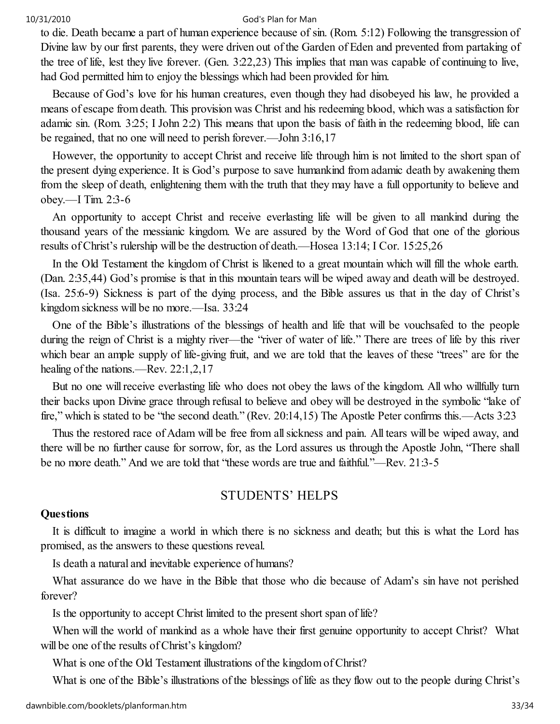to die. Death became a part of human experience because of sin. (Rom. 5:12) Following the transgression of Divine law by our first parents, they were driven out of the Garden of Eden and prevented from partaking of the tree of life, lest they live forever. (Gen. 3:22,23) This implies that man was capable of continuing to live, had God permitted him to enjoy the blessings which had been provided for him.

Because of God's love for his human creatures, even though they had disobeyed his law, he provided a means of escape from death. This provision was Christ and his redeeming blood, which was a satisfaction for adamic sin. (Rom. 3:25; I John 2:2) This means that upon the basis of faith in the redeeming blood, life can be regained, that no one will need to perish forever.—John 3:16,17

However, the opportunity to accept Christ and receive life through him is not limited to the short span of the present dying experience. It is God's purpose to save humankind from adamic death by awakening them from the sleep of death, enlightening them with the truth that they may have a full opportunity to believe and obey.—I Tim. 2:3-6

An opportunity to accept Christ and receive everlasting life will be given to all mankind during the thousand years of the messianic kingdom. We are assured by the Word of God that one of the glorious results of Christ's rulership will be the destruction of death.—Hosea 13:14; I Cor. 15:25,26

In the Old Testament the kingdom of Christ is likened to a great mountain which will fill the whole earth. (Dan. 2:35,44) God's promise is that in this mountain tears will be wiped away and death will be destroyed. (Isa. 25:6-9) Sickness is part of the dying process, and the Bible assures us that in the day of Christ's kingdom sickness will be no more.—Isa. 33:24

One of the Bible's illustrations of the blessings of health and life that will be vouchsafed to the people during the reign of Christ is a mighty river—the "river of water of life." There are trees of life by this river which bear an ample supply of life-giving fruit, and we are told that the leaves of these "trees" are for the healing of the nations.—Rev. 22:1,2,17

But no one will receive everlasting life who does not obey the laws of the kingdom. All who willfully turn their backs upon Divine grace through refusal to believe and obey will be destroyed in the symbolic "lake of fire," which is stated to be "the second death." (Rev. 20:14,15) The Apostle Peter confirms this.—Acts 3:23

Thus the restored race of Adam will be free from all sickness and pain. All tears will be wiped away, and there will be no further cause for sorrow, for, as the Lord assures us through the Apostle John, "There shall be no more death." And we are told that "these words are true and faithful."—Rev. 21:3-5

## STUDENTS' HELPS

#### **Ouestions**

It is difficult to imagine a world in which there is no sickness and death; but this is what the Lord has promised, as the answers to these questions reveal.

Is death a natural and inevitable experience of humans?

What assurance do we have in the Bible that those who die because of Adam's sin have not perished forever?

Is the opportunity to accept Christ limited to the present short span of life?

When will the world of mankind as a whole have their first genuine opportunity to accept Christ? What will be one of the results of Christ's kingdom?

What is one of the Old Testament illustrations of the kingdom of Christ?

What is one of the Bible's illustrations of the blessings of life as they flow out to the people during Christ's